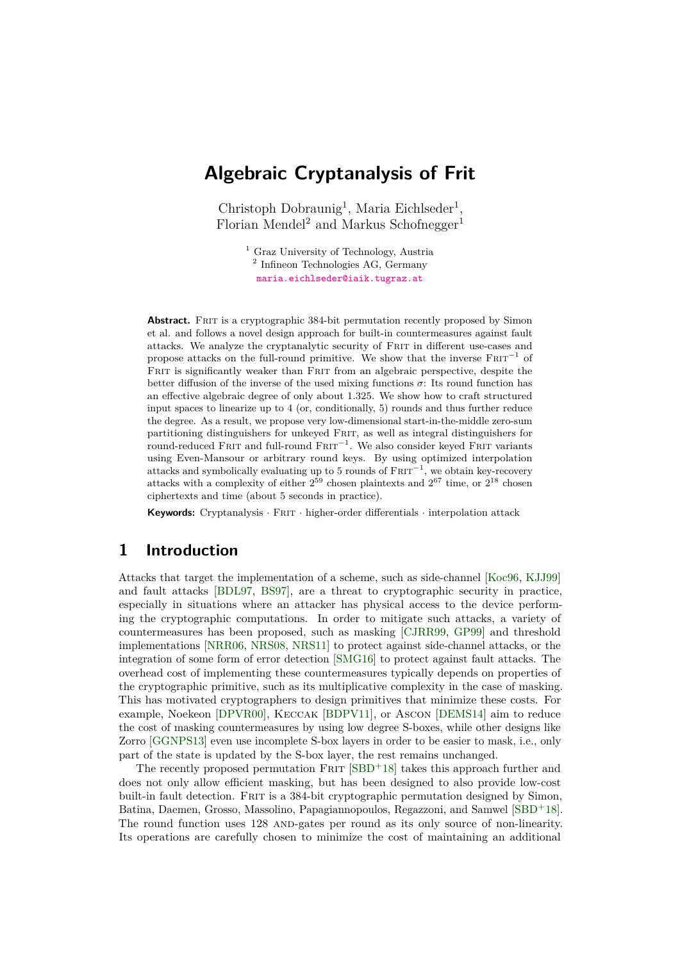# **Algebraic Cryptanalysis of Frit**

Christoph Dobraunig<sup>1</sup>, Maria Eichlseder<sup>1</sup>, Florian Mendel<sup>2</sup> and Markus Schofnegger<sup>1</sup>

> <sup>1</sup> Graz University of Technology, Austria <sup>2</sup> Infineon Technologies AG, Germany [maria.eichlseder@iaik.tugraz.at](mailto:maria.eichlseder@iaik.tugraz.at)

**Abstract.** FRIT is a cryptographic 384-bit permutation recently proposed by Simon et al. and follows a novel design approach for built-in countermeasures against fault attacks. We analyze the cryptanalytic security of Frit in different use-cases and propose attacks on the full-round primitive. We show that the inverse  $F\text{RIT}^{-1}$  of FRIT is significantly weaker than FRIT from an algebraic perspective, despite the better diffusion of the inverse of the used mixing functions  $\sigma$ : Its round function has an effective algebraic degree of only about 1.325. We show how to craft structured input spaces to linearize up to 4 (or, conditionally, 5) rounds and thus further reduce the degree. As a result, we propose very low-dimensional start-in-the-middle zero-sum partitioning distinguishers for unkeyed Frit, as well as integral distinguishers for round-reduced Frit and full-round Frit<sup>−</sup><sup>1</sup> . We also consider keyed Frit variants using Even-Mansour or arbitrary round keys. By using optimized interpolation attacks and symbolically evaluating up to 5 rounds of  $F\text{RIT}^{-1}$ , we obtain key-recovery attacks with a complexity of either  $2^{59}$  chosen plaintexts and  $2^{67}$  time, or  $2^{18}$  chosen ciphertexts and time (about 5 seconds in practice).

**Keywords:** Cryptanalysis · FRIT · higher-order differentials · interpolation attack

# **1 Introduction**

Attacks that target the implementation of a scheme, such as side-channel [\[Koc96,](#page-15-0) [KJJ99\]](#page-15-1) and fault attacks [\[BDL97,](#page-13-0) [BS97\]](#page-14-0), are a threat to cryptographic security in practice, especially in situations where an attacker has physical access to the device performing the cryptographic computations. In order to mitigate such attacks, a variety of countermeasures has been proposed, such as masking [\[CJRR99,](#page-14-1) [GP99\]](#page-15-2) and threshold implementations [\[NRR06,](#page-16-0) [NRS08,](#page-16-1) [NRS11\]](#page-16-2) to protect against side-channel attacks, or the integration of some form of error detection [\[SMG16\]](#page-16-3) to protect against fault attacks. The overhead cost of implementing these countermeasures typically depends on properties of the cryptographic primitive, such as its multiplicative complexity in the case of masking. This has motivated cryptographers to design primitives that minimize these costs. For example, Noekeon [\[DPVR00\]](#page-15-3), Keccak [\[BDPV11\]](#page-13-1), or Ascon [\[DEMS14\]](#page-14-2) aim to reduce the cost of masking countermeasures by using low degree S-boxes, while other designs like Zorro [\[GGNPS13\]](#page-15-4) even use incomplete S-box layers in order to be easier to mask, i.e., only part of the state is updated by the S-box layer, the rest remains unchanged.

The recently proposed permutation  $F\to T$  [\[SBD](#page-16-4)<sup>+</sup>18] takes this approach further and does not only allow efficient masking, but has been designed to also provide low-cost built-in fault detection. Frit is a 384-bit cryptographic permutation designed by Simon, Batina, Daemen, Grosso, Massolino, Papagiannopoulos, Regazzoni, and Samwel [\[SBD](#page-16-4)<sup>+</sup>18]. The round function uses 128 AND-gates per round as its only source of non-linearity. Its operations are carefully chosen to minimize the cost of maintaining an additional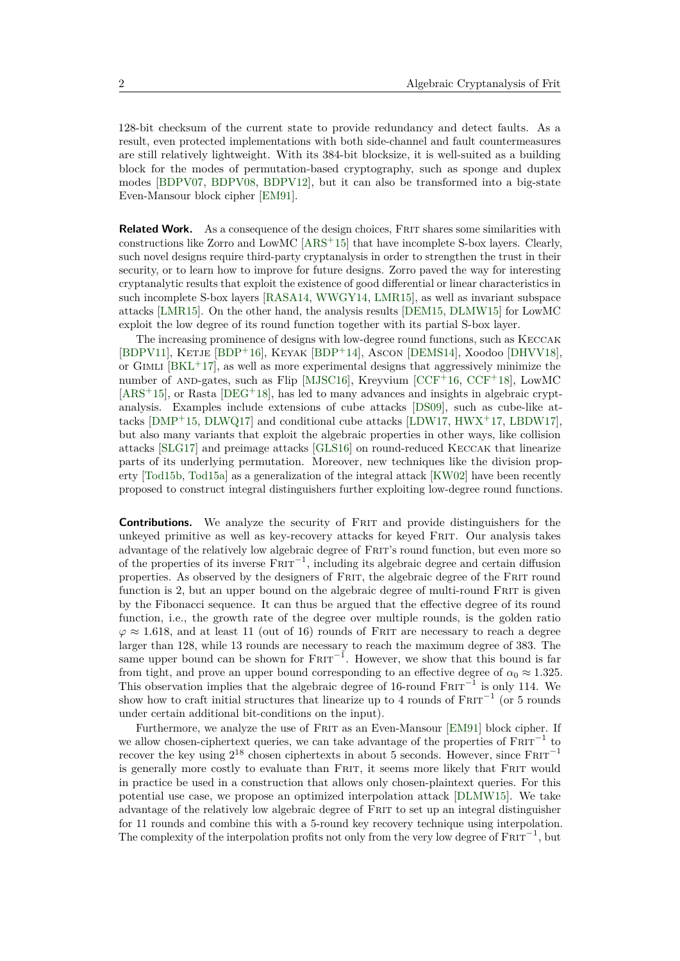128-bit checksum of the current state to provide redundancy and detect faults. As a result, even protected implementations with both side-channel and fault countermeasures are still relatively lightweight. With its 384-bit blocksize, it is well-suited as a building block for the modes of permutation-based cryptography, such as sponge and duplex modes [\[BDPV07,](#page-13-2) [BDPV08,](#page-13-3) [BDPV12\]](#page-13-4), but it can also be transformed into a big-state Even-Mansour block cipher [\[EM91\]](#page-15-5).

**Related Work.** As a consequence of the design choices, FRIT shares some similarities with constructions like Zorro and LowMC [\[ARS](#page-13-5)<sup>+</sup>15] that have incomplete S-box layers. Clearly, such novel designs require third-party cryptanalysis in order to strengthen the trust in their security, or to learn how to improve for future designs. Zorro paved the way for interesting cryptanalytic results that exploit the existence of good differential or linear characteristics in such incomplete S-box layers [\[RASA14,](#page-16-5) [WWGY14,](#page-17-0) [LMR15\]](#page-16-6), as well as invariant subspace attacks [\[LMR15\]](#page-16-6). On the other hand, the analysis results [\[DEM15,](#page-14-3) [DLMW15\]](#page-14-4) for LowMC exploit the low degree of its round function together with its partial S-box layer.

The increasing prominence of designs with low-degree round functions, such as Keccak [\[BDPV11\]](#page-13-1), Ketje [\[BDP](#page-13-6)<sup>+</sup>16], Keyak [\[BDP](#page-13-7)<sup>+</sup>14], Ascon [\[DEMS14\]](#page-14-2), Xoodoo [\[DHVV18\]](#page-14-5), or GIMLI  $[BKL+17]$  $[BKL+17]$ , as well as more experimental designs that aggressively minimize the number of AND-gates, such as Flip [\[MJSC16\]](#page-16-7), Kreyvium  $[CCF+16, CCF+18]$  $[CCF+16, CCF+18]$  $[CCF+16, CCF+18]$  $[CCF+16, CCF+18]$ , LowMC  $[ARS<sup>+</sup>15]$  $[ARS<sup>+</sup>15]$ , or Rasta  $[DEG<sup>+</sup>18]$  $[DEG<sup>+</sup>18]$ , has led to many advances and insights in algebraic cryptanalysis. Examples include extensions of cube attacks [\[DS09\]](#page-15-6), such as cube-like attacks [\[DMP](#page-14-9)<sup>+</sup>15, [DLWQ17\]](#page-14-10) and conditional cube attacks [\[LDW17,](#page-16-8) [HWX](#page-15-7)<sup>+</sup>17, [LBDW17\]](#page-16-9), but also many variants that exploit the algebraic properties in other ways, like collision attacks [\[SLG17\]](#page-16-10) and preimage attacks [\[GLS16\]](#page-15-8) on round-reduced Keccak that linearize parts of its underlying permutation. Moreover, new techniques like the division property [\[Tod15b,](#page-17-1) [Tod15a\]](#page-16-11) as a generalization of the integral attack [\[KW02\]](#page-15-9) have been recently proposed to construct integral distinguishers further exploiting low-degree round functions.

**Contributions.** We analyze the security of FRIT and provide distinguishers for the unkeyed primitive as well as key-recovery attacks for keyed Frit. Our analysis takes advantage of the relatively low algebraic degree of Frit's round function, but even more so of the properties of its inverse  $F\text{RIT}^{-1}$ , including its algebraic degree and certain diffusion properties. As observed by the designers of Frit, the algebraic degree of the Frit round function is 2, but an upper bound on the algebraic degree of multi-round FRIT is given by the Fibonacci sequence. It can thus be argued that the effective degree of its round function, i.e., the growth rate of the degree over multiple rounds, is the golden ratio  $\varphi \approx 1.618$ , and at least 11 (out of 16) rounds of FRIT are necessary to reach a degree larger than 128, while 13 rounds are necessary to reach the maximum degree of 383. The same upper bound can be shown for  $F\text{RIT}^{-1}$ . However, we show that this bound is far from tight, and prove an upper bound corresponding to an effective degree of  $\alpha_0 \approx 1.325$ . This observation implies that the algebraic degree of 16-round  $F \text{RIT}^{-1}$  is only 114. We show how to craft initial structures that linearize up to 4 rounds of  $F\text{RIT}^{-1}$  (or 5 rounds under certain additional bit-conditions on the input).

Furthermore, we analyze the use of FRIT as an Even-Mansour [\[EM91\]](#page-15-5) block cipher. If we allow chosen-ciphertext queries, we can take advantage of the properties of  $F\text{RIT}^{-1}$  to recover the key using  $2^{18}$  chosen ciphertexts in about 5 seconds. However, since  $FRT^{-1}$ is generally more costly to evaluate than FRIT, it seems more likely that FRIT would in practice be used in a construction that allows only chosen-plaintext queries. For this potential use case, we propose an optimized interpolation attack [\[DLMW15\]](#page-14-4). We take advantage of the relatively low algebraic degree of FRIT to set up an integral distinguisher for 11 rounds and combine this with a 5-round key recovery technique using interpolation. The complexity of the interpolation profits not only from the very low degree of  $FRT^{-1}$ , but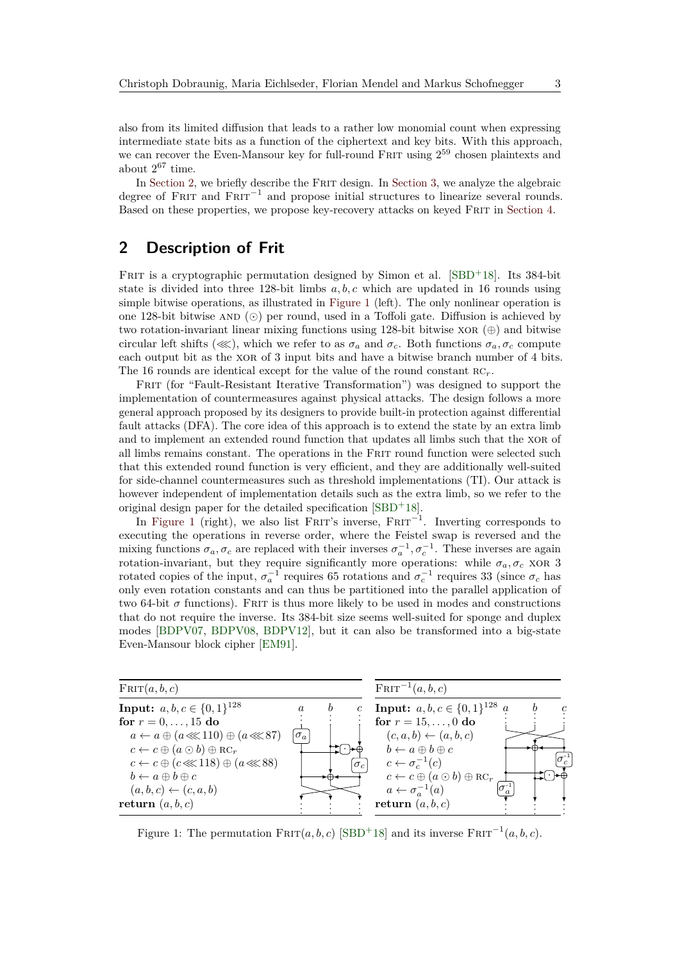also from its limited diffusion that leads to a rather low monomial count when expressing intermediate state bits as a function of the ciphertext and key bits. With this approach, we can recover the Even-Mansour key for full-round FRIT using  $2^{59}$  chosen plaintexts and about  $2^{67}$  time.

In [Section 2,](#page-2-0) we briefly describe the FRIT design. In [Section 3,](#page-3-0) we analyze the algebraic degree of FRIT and FRIT<sup>-1</sup> and propose initial structures to linearize several rounds. Based on these properties, we propose key-recovery attacks on keyed Frit in [Section 4.](#page-9-0)

# <span id="page-2-0"></span>**2 Description of Frit**

FRIT is a cryptographic permutation designed by Simon et al.  $[SBD+18]$  $[SBD+18]$ . Its 384-bit state is divided into three 128-bit limbs *a, b, c* which are updated in 16 rounds using simple bitwise operations, as illustrated in [Figure 1](#page-2-1) (left). The only nonlinear operation is one 128-bit bitwise AND  $\circledcirc$  per round, used in a Toffoli gate. Diffusion is achieved by two rotation-invariant linear mixing functions using 128-bit bitwise  $XOR(\oplus)$  and bitwise circular left shifts ( $\ll$ ), which we refer to as  $\sigma_a$  and  $\sigma_c$ . Both functions  $\sigma_a$ ,  $\sigma_c$  compute each output bit as the XOR of 3 input bits and have a bitwise branch number of 4 bits. The 16 rounds are identical except for the value of the round constant  $RC_r$ .

FRIT (for "Fault-Resistant Iterative Transformation") was designed to support the implementation of countermeasures against physical attacks. The design follows a more general approach proposed by its designers to provide built-in protection against differential fault attacks (DFA). The core idea of this approach is to extend the state by an extra limb and to implement an extended round function that updates all limbs such that the xor of all limbs remains constant. The operations in the Frit round function were selected such that this extended round function is very efficient, and they are additionally well-suited for side-channel countermeasures such as threshold implementations (TI). Our attack is however independent of implementation details such as the extra limb, so we refer to the original design paper for the detailed specification [\[SBD](#page-16-4)<sup>+</sup>18].

In [Figure 1](#page-2-1) (right), we also list FRIT's inverse,  $F$ RIT<sup>-1</sup>. Inverting corresponds to executing the operations in reverse order, where the Feistel swap is reversed and the mixing functions  $\sigma_a$ ,  $\sigma_c$  are replaced with their inverses  $\sigma_a^{-1}$ ,  $\sigma_c^{-1}$ . These inverses are again rotation-invariant, but they require significantly more operations: while  $\sigma_a, \sigma_c$  xor 3 rotated copies of the input,  $\sigma_a^{-1}$  requires 65 rotations and  $\sigma_c^{-1}$  requires 33 (since  $\sigma_c$  has only even rotation constants and can thus be partitioned into the parallel application of two 64-bit  $\sigma$  functions). FRIT is thus more likely to be used in modes and constructions that do not require the inverse. Its 384-bit size seems well-suited for sponge and duplex modes [\[BDPV07,](#page-13-2) [BDPV08,](#page-13-3) [BDPV12\]](#page-13-4), but it can also be transformed into a big-state Even-Mansour block cipher [\[EM91\]](#page-15-5).

<span id="page-2-1"></span>

Figure 1: The permutation  $F\text{RIT}(a, b, c)$  [\[SBD](#page-16-4)<sup>+</sup>18] and its inverse  $F\text{RIT}^{-1}(a, b, c)$ .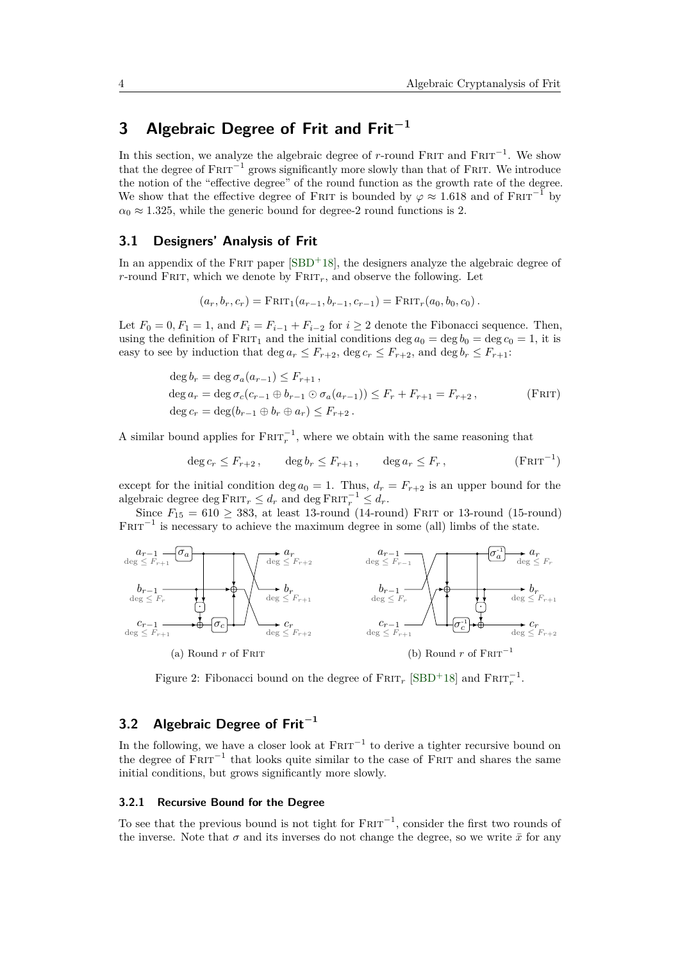# <span id="page-3-0"></span>**3 Algebraic Degree of Frit and Frit<sup>−</sup><sup>1</sup>**

In this section, we analyze the algebraic degree of *r*-round FRIT and  $F$ RIT<sup>-1</sup>. We show that the degree of  $F\text{RIT}^{-1}$  grows significantly more slowly than that of FRIT. We introduce the notion of the "effective degree" of the round function as the growth rate of the degree. We show that the effective degree of FRIT is bounded by  $\varphi \approx 1.618$  and of FRIT<sup>-1</sup> by  $\alpha_0 \approx 1.325$ , while the generic bound for degree-2 round functions is 2.

## <span id="page-3-1"></span>**3.1 Designers' Analysis of Frit**

In an appendix of the FRIT paper [\[SBD](#page-16-4)+18], the designers analyze the algebraic degree of *r*-round FRIT, which we denote by  $F_{\text{RIT}_r}$ , and observe the following. Let

$$
(a_r, b_r, c_r) = \text{FRT}_1(a_{r-1}, b_{r-1}, c_{r-1}) = \text{FRT}_r(a_0, b_0, c_0).
$$

Let  $F_0 = 0, F_1 = 1$ , and  $F_i = F_{i-1} + F_{i-2}$  for  $i \geq 2$  denote the Fibonacci sequence. Then, using the definition of FRIT<sub>1</sub> and the initial conditions deg  $a_0 = \deg b_0 = \deg c_0 = 1$ , it is easy to see by induction that deg  $a_r \leq F_{r+2}$ , deg  $c_r \leq F_{r+2}$ , and deg  $b_r \leq F_{r+1}$ :

$$
\deg b_r = \deg \sigma_a(a_{r-1}) \le F_{r+1},
$$
  
\n
$$
\deg a_r = \deg \sigma_c(c_{r-1} \oplus b_{r-1} \odot \sigma_a(a_{r-1})) \le F_r + F_{r+1} = F_{r+2},
$$
  
\n
$$
\deg c_r = \deg(b_{r-1} \oplus b_r \oplus a_r) \le F_{r+2}.
$$
  
\n(FRIT)

A similar bound applies for  $F \nR I T_r^{-1}$ , where we obtain with the same reasoning that

$$
\deg c_r \le F_{r+2}, \qquad \deg b_r \le F_{r+1}, \qquad \deg a_r \le F_r, \tag{Frit-1}
$$

except for the initial condition deg  $a_0 = 1$ . Thus,  $d_r = F_{r+2}$  is an upper bound for the algebraic degree deg  $\text{FRIT}_r \leq d_r$  and  $\text{deg FRIT}_r^{-1} \leq d_r$ .

Since  $F_{15} = 610 \geq 383$ , at least 13-round (14-round) FRIT or 13-round (15-round)  $FRT^{-1}$  is necessary to achieve the maximum degree in some (all) limbs of the state.



Figure 2: Fibonacci bound on the degree of  $\text{FRT}_r$  [\[SBD](#page-16-4)<sup>+</sup>18] and  $\text{FRT}_r^{-1}$ .

# **3.2 Algebraic Degree of Frit<sup>−</sup><sup>1</sup>**

In the following, we have a closer look at  $FRTT^{-1}$  to derive a tighter recursive bound on the degree of  $F\text{RIT}^{-1}$  that looks quite similar to the case of FRIT and shares the same initial conditions, but grows significantly more slowly.

#### **3.2.1 Recursive Bound for the Degree**

To see that the previous bound is not tight for  $F\text{RIT}^{-1}$ , consider the first two rounds of the inverse. Note that  $\sigma$  and its inverses do not change the degree, so we write  $\bar{x}$  for any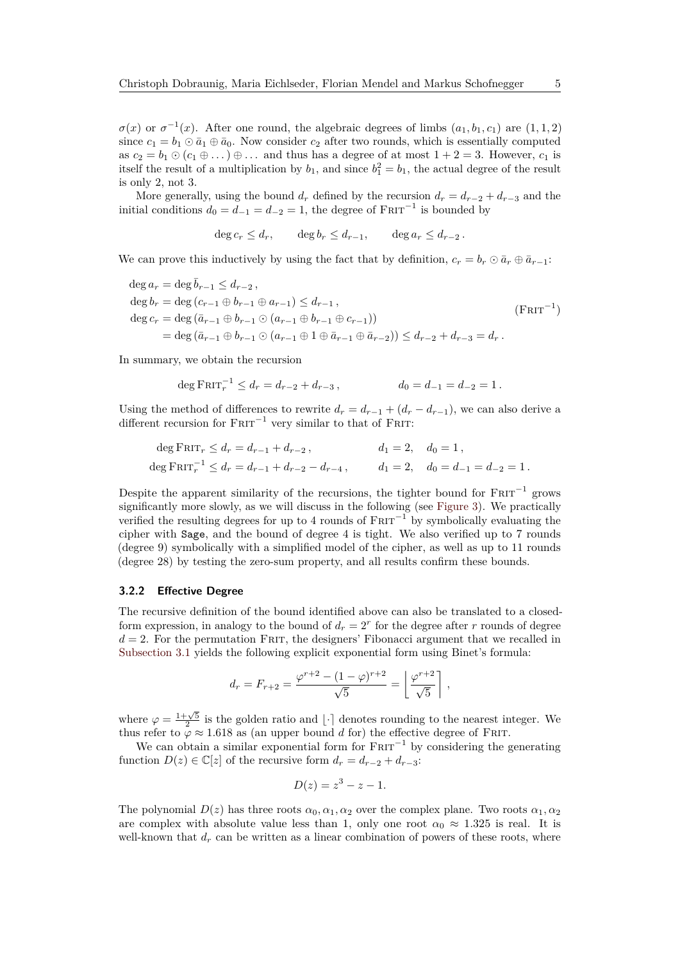*σ*(*x*) or *σ*<sup>-1</sup>(*x*). After one round, the algebraic degrees of limbs  $(a_1, b_1, c_1)$  are  $(1, 1, 2)$ since  $c_1 = b_1 \odot \bar{a}_1 \oplus \bar{a}_0$ . Now consider  $c_2$  after two rounds, which is essentially computed as  $c_2 = b_1 \odot (c_1 \oplus \ldots) \oplus \ldots$  and thus has a degree of at most  $1 + 2 = 3$ . However,  $c_1$  is itself the result of a multiplication by  $b_1$ , and since  $b_1^2 = b_1$ , the actual degree of the result is only 2, not 3.

More generally, using the bound  $d_r$  defined by the recursion  $d_r = d_{r-2} + d_{r-3}$  and the initial conditions  $d_0 = d_{-1} = d_{-2} = 1$ , the degree of  $F \text{RIT}^{-1}$  is bounded by

$$
\deg c_r \le d_r, \qquad \deg b_r \le d_{r-1}, \qquad \deg a_r \le d_{r-2}.
$$

We can prove this inductively by using the fact that by definition,  $c_r = b_r \odot \bar{a}_r \oplus \bar{a}_{r-1}$ :

 $\deg a_r = \deg \bar{b}_{r-1} \leq d_{r-2}$  $\deg b_r = \deg (c_{r-1} \oplus b_{r-1} \oplus a_{r-1}) \leq d_{r-1}$ ,  $\deg c_r = \deg (\bar{a}_{r-1} \oplus b_{r-1} \odot (a_{r-1} \oplus b_{r-1} \oplus c_{r-1}))$  $=$  deg  $(\bar{a}_{r-1} \oplus b_{r-1} \odot (a_{r-1} \oplus 1 \oplus \bar{a}_{r-1} \oplus \bar{a}_{r-2})) \leq d_{r-2} + d_{r-3} = d_r$ .  $(FRIT^{-1})$ 

In summary, we obtain the recursion

$$
\deg \operatorname{FRIT}_r^{-1} \le d_r = d_{r-2} + d_{r-3}, \qquad d_0 = d_{-1} = d_{-2} = 1.
$$

Using the method of differences to rewrite  $d_r = d_{r-1} + (d_r - d_{r-1})$ , we can also derive a different recursion for  $F\text{RIT}^{-1}$  very similar to that of FRIT:

$$
\begin{aligned}\n\deg \operatorname{FRT}_r &\le d_r = d_{r-1} + d_{r-2} \,, & d_1 = 2, \quad d_0 = 1 \,, \\
\deg \operatorname{FRT}_r^{-1} &\le d_r = d_{r-1} + d_{r-2} - d_{r-4} \,, & d_1 = 2, \quad d_0 = d_{-1} = d_{-2} = 1 \,. \n\end{aligned}
$$

Despite the apparent similarity of the recursions, the tighter bound for  $F\text{RIT}^{-1}$  grows significantly more slowly, as we will discuss in the following (see [Figure 3\)](#page-5-0). We practically verified the resulting degrees for up to 4 rounds of  $FRT^{-1}$  by symbolically evaluating the cipher with Sage, and the bound of degree 4 is tight. We also verified up to 7 rounds (degree 9) symbolically with a simplified model of the cipher, as well as up to 11 rounds (degree 28) by testing the zero-sum property, and all results confirm these bounds.

#### **3.2.2 Effective Degree**

The recursive definition of the bound identified above can also be translated to a closedform expression, in analogy to the bound of  $d_r = 2^r$  for the degree after *r* rounds of degree  $d = 2$ . For the permutation FRIT, the designers' Fibonacci argument that we recalled in [Subsection 3.1](#page-3-1) yields the following explicit exponential form using Binet's formula:

$$
d_r = F_{r+2} = \frac{\varphi^{r+2} - (1 - \varphi)^{r+2}}{\sqrt{5}} = \left\lfloor \frac{\varphi^{r+2}}{\sqrt{5}} \right\rfloor,
$$

where  $\varphi = \frac{1+\sqrt{5}}{2}$  is the golden ratio and  $\lfloor \cdot \rceil$  denotes rounding to the nearest integer. We thus refer to  $\varphi \approx 1.618$  as (an upper bound *d* for) the effective degree of FRIT.

We can obtain a similar exponential form for  $F\text{RIT}^{-1}$  by considering the generating function  $D(z) \in \mathbb{C}[z]$  of the recursive form  $d_r = d_{r-2} + d_{r-3}$ :

$$
D(z) = z^3 - z - 1.
$$

The polynomial  $D(z)$  has three roots  $\alpha_0, \alpha_1, \alpha_2$  over the complex plane. Two roots  $\alpha_1, \alpha_2$ are complex with absolute value less than 1, only one root  $\alpha_0 \approx 1.325$  is real. It is well-known that  $d_r$  can be written as a linear combination of powers of these roots, where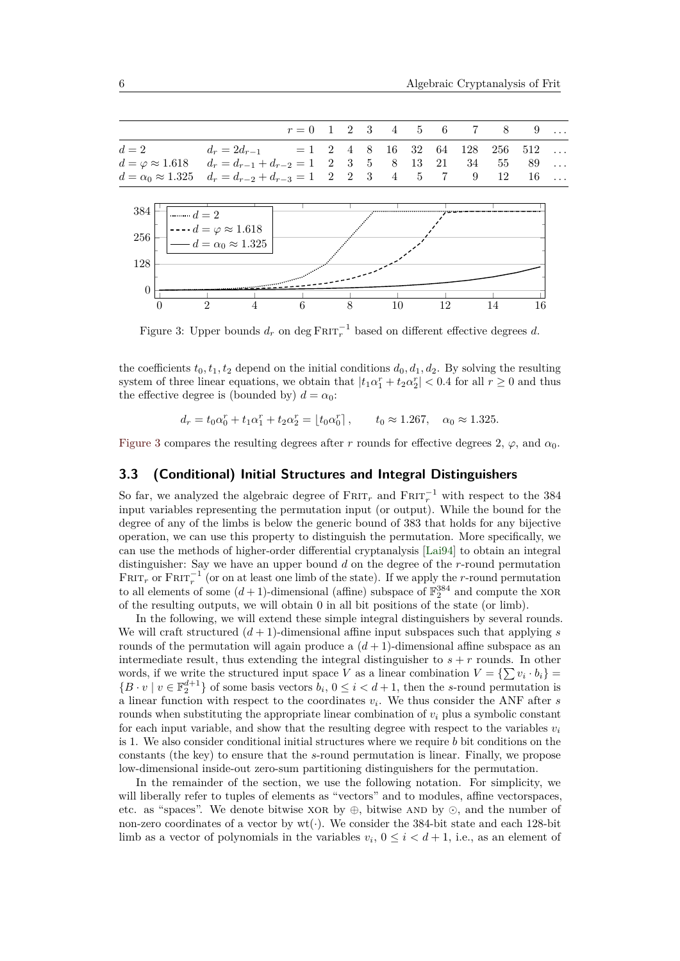<span id="page-5-0"></span>

Figure 3: Upper bounds  $d_r$  on deg  $F$ RIT $_r^{-1}$  based on different effective degrees  $d$ .

0 2 4 6 8 10 12 14 16

the coefficients  $t_0, t_1, t_2$  depend on the initial conditions  $d_0, d_1, d_2$ . By solving the resulting system of three linear equations, we obtain that  $|t_1\alpha_1^r + t_2\alpha_2^r| < 0.4$  for all  $r \ge 0$  and thus the effective degree is (bounded by)  $d = \alpha_0$ :

$$
d_r = t_0 \alpha_0^r + t_1 \alpha_1^r + t_2 \alpha_2^r = [t_0 \alpha_0^r], \qquad t_0 \approx 1.267, \quad \alpha_0 \approx 1.325.
$$

[Figure 3](#page-5-0) compares the resulting degrees after *r* rounds for effective degrees 2,  $\varphi$ , and  $\alpha_0$ .

## **3.3 (Conditional) Initial Structures and Integral Distinguishers**

So far, we analyzed the algebraic degree of  $F$ RIT<sub>r</sub> and  $F$ RIT<sub>r</sub><sup>-1</sup> with respect to the 384 input variables representing the permutation input (or output). While the bound for the degree of any of the limbs is below the generic bound of 383 that holds for any bijective operation, we can use this property to distinguish the permutation. More specifically, we can use the methods of higher-order differential cryptanalysis [\[Lai94\]](#page-15-10) to obtain an integral distinguisher: Say we have an upper bound *d* on the degree of the *r*-round permutation  $F_{\text{RIT}_r}$  or  $F_{\text{RIT}_r}^{-1}$  (or on at least one limb of the state). If we apply the *r*-round permutation to all elements of some  $(d+1)$ -dimensional (affine) subspace of  $\mathbb{F}_2^{384}$  and compute the XOR of the resulting outputs, we will obtain 0 in all bit positions of the state (or limb).

In the following, we will extend these simple integral distinguishers by several rounds. We will craft structured  $(d+1)$ -dimensional affine input subspaces such that applying *s* rounds of the permutation will again produce a  $(d+1)$ -dimensional affine subspace as an intermediate result, thus extending the integral distinguisher to  $s + r$  rounds. In other words, if we write the structured input space *V* as a linear combination  $V = \{ \sum v_i \cdot b_i \}$  ${B \cdot v \mid v \in \mathbb{F}_2^{d+1}}$  of some basis vectors  $b_i, 0 \le i < d+1$ , then the *s*-round permutation is a linear function with respect to the coordinates *v<sup>i</sup>* . We thus consider the ANF after *s* rounds when substituting the appropriate linear combination of  $v_i$  plus a symbolic constant for each input variable, and show that the resulting degree with respect to the variables  $v_i$ is 1. We also consider conditional initial structures where we require *b* bit conditions on the constants (the key) to ensure that the *s*-round permutation is linear. Finally, we propose low-dimensional inside-out zero-sum partitioning distinguishers for the permutation.

In the remainder of the section, we use the following notation. For simplicity, we will liberally refer to tuples of elements as "vectors" and to modules, affine vectorspaces, etc. as "spaces". We denote bitwise  $XOR$  by  $\oplus$ , bitwise AND by  $\odot$ , and the number of non-zero coordinates of a vector by wt(·). We consider the 384-bit state and each 128-bit limb as a vector of polynomials in the variables  $v_i$ ,  $0 \le i < d+1$ , i.e., as an element of

0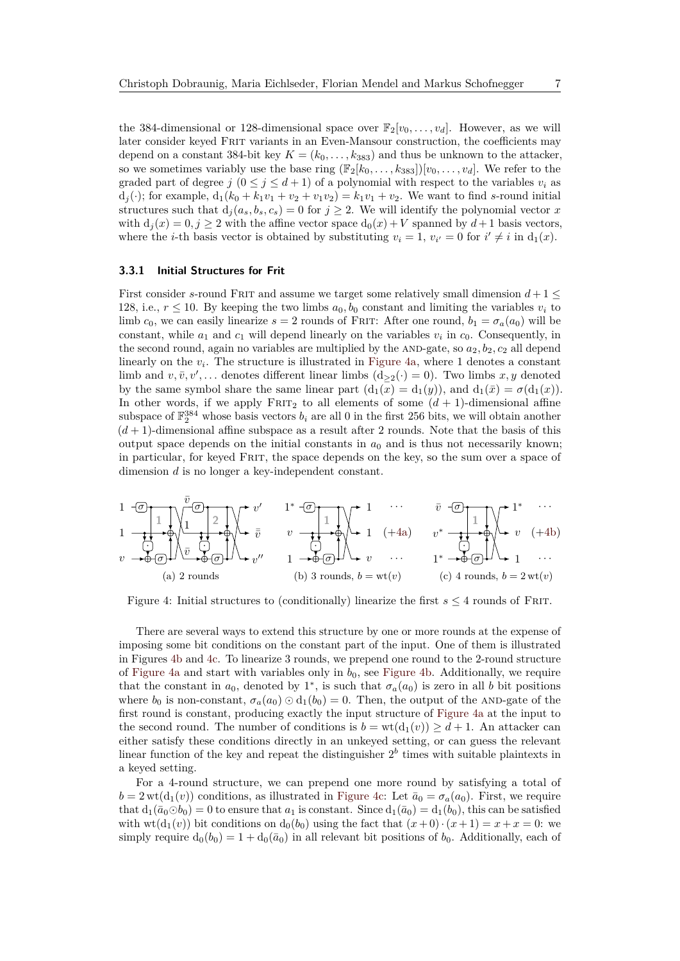the 384-dimensional or 128-dimensional space over  $\mathbb{F}_2[v_0, \ldots, v_d]$ . However, as we will later consider keyed Frit variants in an Even-Mansour construction, the coefficients may depend on a constant 384-bit key  $K = (k_0, \ldots, k_{383})$  and thus be unknown to the attacker, so we sometimes variably use the base ring  $(\mathbb{F}_2[k_0, \ldots, k_{383}])[v_0, \ldots, v_d]$ . We refer to the graded part of degree  $j$  ( $0 \leq j \leq d+1$ ) of a polynomial with respect to the variables  $v_i$  as  $d_1(.)$ ; for example,  $d_1(k_0 + k_1v_1 + v_2 + v_1v_2) = k_1v_1 + v_2$ . We want to find *s*-round initial structures such that  $d_j(a_s, b_s, c_s) = 0$  for  $j \geq 2$ . We will identify the polynomial vector *x* with  $d_i(x) = 0, j \geq 2$  with the affine vector space  $d_0(x) + V$  spanned by  $d+1$  basis vectors, where the *i*-th basis vector is obtained by substituting  $v_i = 1$ ,  $v_{i'} = 0$  for  $i' \neq i$  in  $d_1(x)$ .

#### **3.3.1 Initial Structures for Frit**

First consider *s*-round FRIT and assume we target some relatively small dimension  $d+1 \leq$ 128, i.e.,  $r \leq 10$ . By keeping the two limbs  $a_0, b_0$  constant and limiting the variables  $v_i$  to limb  $c_0$ , we can easily linearize  $s = 2$  rounds of FRIT: After one round,  $b_1 = \sigma_a(a_0)$  will be constant, while  $a_1$  and  $c_1$  will depend linearly on the variables  $v_i$  in  $c_0$ . Consequently, in the second round, again no variables are multiplied by the AND-gate, so  $a_2, b_2, c_2$  all depend linearly on the  $v_i$ . The structure is illustrated in [Figure 4a,](#page-6-0) where 1 denotes a constant limb and  $v, \bar{v}, v', \ldots$  denotes different linear limbs  $(d_{\geq 2}(\cdot) = 0)$ . Two limbs  $x, y$  denoted by the same symbol share the same linear part  $(d_1(x) = d_1(y))$ , and  $d_1(\bar{x}) = \sigma(d_1(x))$ . In other words, if we apply  $FRT_2$  to all elements of some  $(d + 1)$ -dimensional affine subspace of  $\mathbb{F}_2^{384}$  whose basis vectors  $b_i$  are all 0 in the first 256 bits, we will obtain another  $(d+1)$ -dimensional affine subspace as a result after 2 rounds. Note that the basis of this output space depends on the initial constants in  $a_0$  and is thus not necessarily known; in particular, for keyed Frit, the space depends on the key, so the sum over a space of dimension *d* is no longer a key-independent constant.

<span id="page-6-3"></span>
$$
\begin{array}{ccccccccc}\n1 & -\overline{0} & & \overline{v} & \overline{0} & & \overline{v} & & \overline{1} & \overline{0} & & \overline{v} & & \overline{0} & & \overline{0} & & \overline{1} & \overline{0} & & \overline{0} & & \overline{1} & \overline{0} & & \overline{0} & & \overline{1} & \overline{0} & & \overline{0} & & \overline{0} & & \overline{1} & \overline{0} & & \overline{0} & & \overline{0} & & \overline{0} & & \overline{0} & & \overline{0} & & \overline{0} & & \overline{0} & & \overline{0} & & \overline{0} & & \overline{0} & & \overline{0} & & \overline{0} & & \overline{0} & & \overline{0} & & \overline{0} & & \overline{0} & & \overline{0} & & \overline{0} & & \overline{0} & & \overline{0} & & \overline{0} & & \overline{0} & & \overline{0} & & \overline{0} & & \overline{0} & & \overline{0} & & \overline{0} & & \overline{0} & & \overline{0} & & \overline{0} & & \overline{0} & & \overline{0} & & \overline{0} & & \overline{0} & & \overline{0} & & \overline{0} & & \overline{0} & & \overline{0} & & \overline{0} & & \overline{0} & & \overline{0} & & \overline{0} & & \overline{0} & & \overline{0} & & \overline{0} & & \overline{0} & & \overline{0} & & \overline{0} & & \overline{0} & & \overline{0} & & \overline{0} & & \overline{0} & & \overline{0} & & \overline{0} & & \overline{0} & & \overline{0} & & \overline{0} & & \overline{0} & & \overline{0} & & \overline{0} & & \overline{0} & & \overline{0} & & \overline{0} & & \overline{0} & & \overline{0} & & \overline{0} & & \overline{0} & & \overline{0} & & \overline{0} & & \overline{0} & & \overline{0} & & \overline{0} & & \overline{0} & & \
$$

<span id="page-6-2"></span><span id="page-6-1"></span><span id="page-6-0"></span>Figure 4: Initial structures to (conditionally) linearize the first  $s \leq 4$  rounds of FRIT.

There are several ways to extend this structure by one or more rounds at the expense of imposing some bit conditions on the constant part of the input. One of them is illustrated in Figures [4b](#page-6-1) and [4c.](#page-6-2) To linearize 3 rounds, we prepend one round to the 2-round structure of [Figure 4a](#page-6-0) and start with variables only in  $b_0$ , see [Figure 4b.](#page-6-1) Additionally, we require that the constant in  $a_0$ , denoted by 1<sup>\*</sup>, is such that  $\sigma_a(a_0)$  is zero in all *b* bit positions where  $b_0$  is non-constant,  $\sigma_a(a_0) \odot d_1(b_0) = 0$ . Then, the output of the AND-gate of the first round is constant, producing exactly the input structure of [Figure 4a](#page-6-0) at the input to the second round. The number of conditions is  $b = wt(d_1(v)) \geq d+1$ . An attacker can either satisfy these conditions directly in an unkeyed setting, or can guess the relevant linear function of the key and repeat the distinguisher  $2<sup>b</sup>$  times with suitable plaintexts in a keyed setting.

For a 4-round structure, we can prepend one more round by satisfying a total of  $b = 2 \text{ wt}(d_1(v))$  conditions, as illustrated in [Figure 4c:](#page-6-2) Let  $\bar{a}_0 = \sigma_a(a_0)$ . First, we require that  $d_1(\bar{a}_0 \odot b_0) = 0$  to ensure that  $a_1$  is constant. Since  $d_1(\bar{a}_0) = d_1(b_0)$ , this can be satisfied with  $wt(d_1(v))$  bit conditions on  $d_0(b_0)$  using the fact that  $(x+0) \cdot (x+1) = x+x=0$ : we simply require  $d_0(b_0) = 1 + d_0(\bar{a}_0)$  in all relevant bit positions of  $b_0$ . Additionally, each of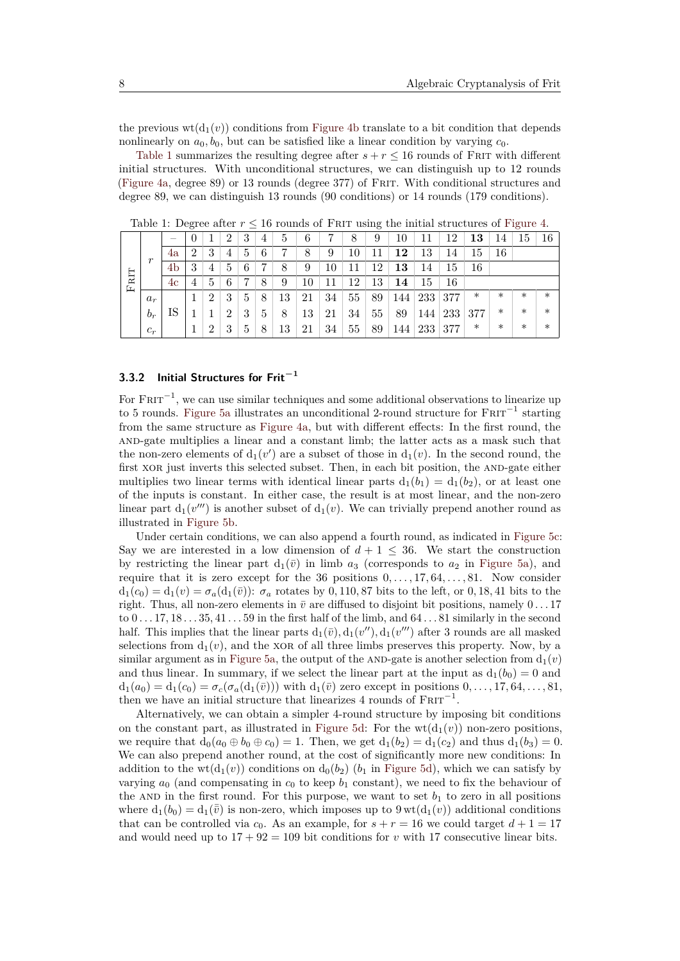the previous  $wt(d_1(v))$  conditions from [Figure 4b](#page-6-1) translate to a bit condition that depends nonlinearly on  $a_0, b_0$ , but can be satisfied like a linear condition by varying  $c_0$ .

[Table 1](#page-7-0) summarizes the resulting degree after  $s + r \le 16$  rounds of FRIT with different initial structures. With unconditional structures, we can distinguish up to 12 rounds [\(Figure 4a,](#page-6-0) degree 89) or 13 rounds (degree 377) of Frit. With conditional structures and degree 89, we can distinguish 13 rounds (90 conditions) or 14 rounds (179 conditions).

|          |              |                          | $\sim$         |                |                |             |   |    |    |    |    | $\sim$ |     |     |     |        |        | $\sim$ |        |
|----------|--------------|--------------------------|----------------|----------------|----------------|-------------|---|----|----|----|----|--------|-----|-----|-----|--------|--------|--------|--------|
|          | $\mathbf{r}$ | $\overline{\phantom{a}}$ |                |                | 2              | 3           | 4 | 5  | 6  |    | 8  | 9      | 10  | ΠT  | 12  | 13     | 14     | 15     | 16     |
|          |              | 4a                       | $\overline{2}$ | 3              | 4              | 5           | 6 |    | 8  | 9  | 10 | 11     | 12  | 13  | 14  | 15     | 16     |        |        |
|          |              | 4b                       | 3              | 4              | 5              | 6           | , | 8  | 9  | 10 | 11 | 12     | 13  | 14  | 15  | 16     |        |        |        |
| RIT<br>Ŀ |              | 4c                       | 4              | 5              | 6              |             | 8 | 9  | 10 | 11 | 12 | 13     | 14  | 15  | 16  |        |        |        |        |
|          | $a_r$        |                          |                | $\overline{2}$ | 3              | 5           | 8 | 13 | 21 | 34 | 55 | 89     | 144 | 233 | 377 | $\ast$ | $\ast$ | $\ast$ | $\ast$ |
|          | $b_r$        | IS                       |                |                | $\overline{2}$ | 3           | 5 | 8  | 13 | 21 | 34 | 55     | 89  | 144 | 233 | 377    | $\ast$ | $\ast$ | $\ast$ |
|          | $c_r$        |                          |                | 2              | 3              | $\mathbf b$ | 8 | 13 | 21 | 34 | 55 | 89     | 144 | 233 | 377 | $\ast$ | $\ast$ | $\ast$ | $\ast$ |

<span id="page-7-0"></span>Table 1: Degree after  $r \leq 16$  rounds of FRIT using the initial structures of [Figure 4.](#page-6-3)

## **3.3.2 Initial Structures for Frit−<sup>1</sup>**

For  $F \text{RIT}^{-1}$ , we can use similar techniques and some additional observations to linearize up to 5 rounds. [Figure 5a](#page-8-0) illustrates an unconditional 2-round structure for  $F\text{RIT}^{-1}$  starting from the same structure as [Figure 4a,](#page-6-0) but with different effects: In the first round, the and-gate multiplies a linear and a constant limb; the latter acts as a mask such that the non-zero elements of  $d_1(v')$  are a subset of those in  $d_1(v)$ . In the second round, the first XOR just inverts this selected subset. Then, in each bit position, the AND-gate either multiplies two linear terms with identical linear parts  $d_1(b_1) = d_1(b_2)$ , or at least one of the inputs is constant. In either case, the result is at most linear, and the non-zero linear part  $d_1(v''')$  is another subset of  $d_1(v)$ . We can trivially prepend another round as illustrated in [Figure 5b.](#page-8-1)

Under certain conditions, we can also append a fourth round, as indicated in [Figure 5c:](#page-8-2) Say we are interested in a low dimension of  $d+1 \leq 36$ . We start the construction by restricting the linear part  $d_1(\bar{v})$  in limb  $a_3$  (corresponds to  $a_2$  in [Figure 5a\)](#page-8-0), and require that it is zero except for the 36 positions 0*, . . . ,* 17*,* 64*, . . . ,* 81. Now consider  $d_1(c_0) = d_1(v) = \sigma_a(d_1(\bar{v}))$ :  $\sigma_a$  rotates by 0,110,87 bits to the left, or 0,18,41 bits to the right. Thus, all non-zero elements in  $\bar{v}$  are diffused to disjoint bit positions, namely  $0 \ldots 17$ to 0 *. . .* 17*,* 18 *. . .* 35*,* 41 *. . .* 59 in the first half of the limb, and 64 *. . .* 81 similarly in the second half. This implies that the linear parts  $d_1(\bar{v}), d_1(v''), d_1(v''')$  after 3 rounds are all masked selections from  $d_1(v)$ , and the xor of all three limbs preserves this property. Now, by a similar argument as in [Figure 5a,](#page-8-0) the output of the AND-gate is another selection from  $d_1(v)$ and thus linear. In summary, if we select the linear part at the input as  $d_1(b_0) = 0$  and  $d_1(a_0) = d_1(c_0) = \sigma_c(\sigma_a(d_1(\bar{v})))$  with  $d_1(\bar{v})$  zero except in positions  $0, \ldots, 17, 64, \ldots, 81$ , then we have an initial structure that linearizes 4 rounds of  $FRTT^{-1}$ .

Alternatively, we can obtain a simpler 4-round structure by imposing bit conditions on the constant part, as illustrated in [Figure 5d:](#page-8-3) For the  $wt(d_1(v))$  non-zero positions, we require that  $d_0(a_0 \oplus b_0 \oplus c_0) = 1$ . Then, we get  $d_1(b_2) = d_1(c_2)$  and thus  $d_1(b_3) = 0$ . We can also prepend another round, at the cost of significantly more new conditions: In addition to the  $wt(d_1(v))$  conditions on  $d_0(b_2)$  ( $b_1$  in [Figure 5d\)](#page-8-3), which we can satisfy by varying  $a_0$  (and compensating in  $c_0$  to keep  $b_1$  constant), we need to fix the behaviour of the AND in the first round. For this purpose, we want to set  $b_1$  to zero in all positions where  $d_1(b_0) = d_1(\bar{v})$  is non-zero, which imposes up to  $9 \text{ wt}(d_1(v))$  additional conditions that can be controlled via  $c_0$ . As an example, for  $s + r = 16$  we could target  $d + 1 = 17$ and would need up to  $17 + 92 = 109$  bit conditions for *v* with 17 consecutive linear bits.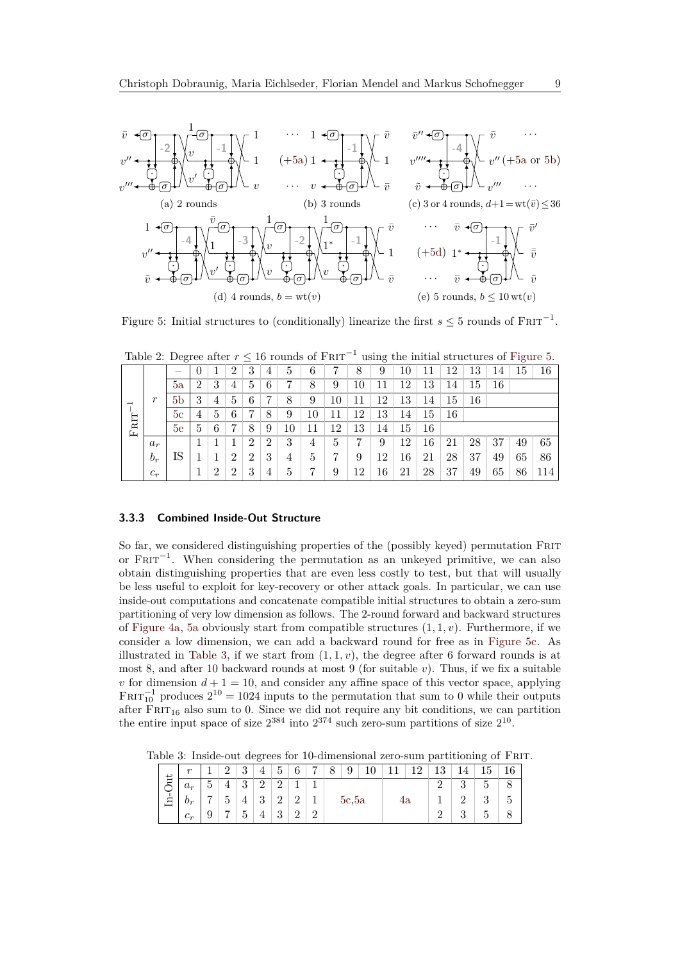<span id="page-8-4"></span><span id="page-8-2"></span><span id="page-8-1"></span><span id="page-8-0"></span>

<span id="page-8-5"></span><span id="page-8-3"></span>Figure 5: Initial structures to (conditionally) linearize the first  $s \leq 5$  rounds of  $\text{FRT}^{-1}$ .

<span id="page-8-7"></span>Table 2: Degree after  $r \leq 16$  rounds of  $F \text{RIT}^{-1}$  using the initial structures of [Figure 5.](#page-8-4)

|                | $\boldsymbol{r}$ | $\overline{\phantom{a}}$ | U              |                | റ              | 3              | 4 | 5  | 6  | ,  | 8  | 9  | 10 |    | 12 | 13 | 14 | 15 | 16  |
|----------------|------------------|--------------------------|----------------|----------------|----------------|----------------|---|----|----|----|----|----|----|----|----|----|----|----|-----|
|                |                  | 5a                       | $\overline{2}$ | 3              | 4              | 5              | 6 |    | 8  | 9  | 10 | 11 | 12 | 13 | 14 | 15 | 16 |    |     |
| $\overline{ }$ |                  | 5 <sub>b</sub>           | 3              | $\overline{4}$ | $\mathbf b$    | 6              |   | 8  | 9  | 10 | 11 | 12 | 13 | 14 | 15 | 16 |    |    |     |
|                |                  | 5c                       | 4              | 5              | 6              | 7              | 8 | 9  | 10 | 11 | 12 | 13 | 14 | 15 | 16 |    |    |    |     |
| $F$ RIT        |                  | 5e                       | 5              | 6              |                | 8              | 9 | 10 |    | 12 | 13 | 14 | 15 | 16 |    |    |    |    |     |
|                | $a_r$            |                          |                |                |                | 2              | 2 | 3  | 4  | 5  | ,  | 9  | 12 | 16 | 21 | 28 | 37 | 49 | 65  |
|                | $b_r$            | IS                       |                |                | $\overline{2}$ | $\overline{2}$ | 3 | 4  | 5  | ,  | 9  | 12 | 16 | 21 | 28 | 37 | 49 | 65 | 86  |
|                | $c_r$            |                          |                | $\overline{2}$ | റ              | 3              | 4 | 5  |    | 9  | 12 | 16 | 21 | 28 | 37 | 49 | 65 | 86 | 114 |

#### **3.3.3 Combined Inside-Out Structure**

So far, we considered distinguishing properties of the (possibly keyed) permutation Frit or  $F\text{RIT}^{-1}$ . When considering the permutation as an unkeyed primitive, we can also obtain distinguishing properties that are even less costly to test, but that will usually be less useful to exploit for key-recovery or other attack goals. In particular, we can use inside-out computations and concatenate compatible initial structures to obtain a zero-sum partitioning of very low dimension as follows. The 2-round forward and backward structures of [Figure 4a,](#page-6-0) [5a](#page-8-0) obviously start from compatible structures (1*,* 1*, v*). Furthermore, if we consider a low dimension, we can add a backward round for free as in [Figure 5c.](#page-8-2) As illustrated in [Table 3,](#page-8-6) if we start from  $(1, 1, v)$ , the degree after 6 forward rounds is at most 8, and after 10 backward rounds at most 9 (for suitable *v*). Thus, if we fix a suitable *v* for dimension  $d + 1 = 10$ , and consider any affine space of this vector space, applying  $FRT_{10}^{-1}$  produces  $2^{10} = 1024$  inputs to the permutation that sum to 0 while their outputs after  $FRT_{16}$  also sum to 0. Since we did not require any bit conditions, we can partition the entire input space of size  $2^{384}$  into  $2^{374}$  such zero-sum partitions of size  $2^{10}$ .

<span id="page-8-6"></span>Table 3: Inside-out degrees for 10-dimensional zero-sum partitioning of Frit.

| ↵      | $\boldsymbol{r}$ |               | റ              | 3              | 4              | 5              | 6              | $\overline{ }$ | 8 | 9<br>10 |  |  | 12 | 13 | 14 | 15 |   |
|--------|------------------|---------------|----------------|----------------|----------------|----------------|----------------|----------------|---|---------|--|--|----|----|----|----|---|
| Ξ      | $a_r$            | $\mathcal{O}$ | 4              | 3              | $\overline{2}$ | റ              |                |                |   |         |  |  |    |    | 3  | 5  |   |
| Ė<br>_ | $b_r$            | 7             | $\overline{5}$ | $\overline{4}$ | 3              | $\overline{2}$ | $\overline{2}$ |                |   | 5c,5a   |  |  | 4а |    | 9  | 3  | Ð |
|        | $c_r$            | 9             | 7              | $\mathcal{O}$  | 4              | 3              | $\overline{2}$ | റ              |   |         |  |  |    | 3  | 5  |    |   |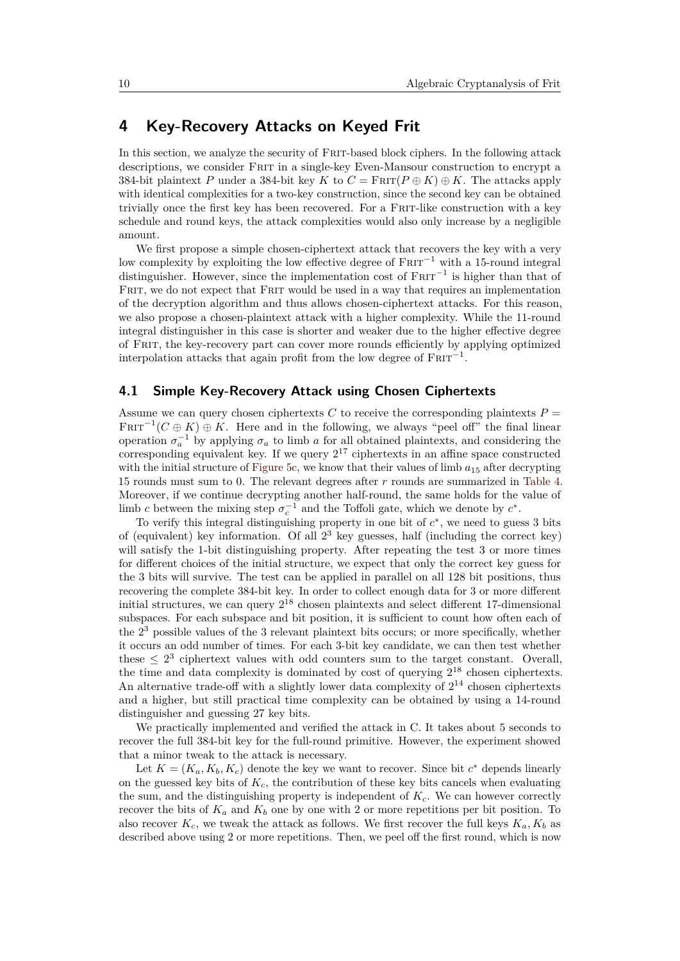# <span id="page-9-0"></span>**4 Key-Recovery Attacks on Keyed Frit**

In this section, we analyze the security of Frit-based block ciphers. In the following attack descriptions, we consider Frit in a single-key Even-Mansour construction to encrypt a 384-bit plaintext *P* under a 384-bit key *K* to  $C = \text{Frit}(P \oplus K) \oplus K$ . The attacks apply with identical complexities for a two-key construction, since the second key can be obtained trivially once the first key has been recovered. For a Frit-like construction with a key schedule and round keys, the attack complexities would also only increase by a negligible amount.

We first propose a simple chosen-ciphertext attack that recovers the key with a very low complexity by exploiting the low effective degree of  $F$ RIT<sup> $-1$ </sup> with a 15-round integral distinguisher. However, since the implementation cost of  $FRT^{-1}$  is higher than that of FRIT, we do not expect that FRIT would be used in a way that requires an implementation of the decryption algorithm and thus allows chosen-ciphertext attacks. For this reason, we also propose a chosen-plaintext attack with a higher complexity. While the 11-round integral distinguisher in this case is shorter and weaker due to the higher effective degree of Frit, the key-recovery part can cover more rounds efficiently by applying optimized interpolation attacks that again profit from the low degree of  $F\text{RIT}^{-1}$ .

## **4.1 Simple Key-Recovery Attack using Chosen Ciphertexts**

Assume we can query chosen ciphertexts *C* to receive the corresponding plaintexts  $P =$  $F \nvert T^{-1}(C \oplus K) \oplus K$ . Here and in the following, we always "peel off" the final linear operation  $\sigma_a^{-1}$  by applying  $\sigma_a$  to limb *a* for all obtained plaintexts, and considering the corresponding equivalent key. If we query  $2^{17}$  ciphertexts in an affine space constructed with the initial structure of [Figure 5c,](#page-8-2) we know that their values of limb  $a_{15}$  after decrypting 15 rounds must sum to 0. The relevant degrees after *r* rounds are summarized in [Table 4.](#page-10-0) Moreover, if we continue decrypting another half-round, the same holds for the value of limb *c* between the mixing step  $\sigma_c^{-1}$  and the Toffoli gate, which we denote by  $c^*$ .

To verify this integral distinguishing property in one bit of  $c^*$ , we need to guess 3 bits of (equivalent) key information. Of all 2 <sup>3</sup> key guesses, half (including the correct key) will satisfy the 1-bit distinguishing property. After repeating the test 3 or more times for different choices of the initial structure, we expect that only the correct key guess for the 3 bits will survive. The test can be applied in parallel on all 128 bit positions, thus recovering the complete 384-bit key. In order to collect enough data for 3 or more different initial structures, we can query  $2^{18}$  chosen plaintexts and select different 17-dimensional subspaces. For each subspace and bit position, it is sufficient to count how often each of the 2 <sup>3</sup> possible values of the 3 relevant plaintext bits occurs; or more specifically, whether it occurs an odd number of times. For each 3-bit key candidate, we can then test whether these  $\leq 2^3$  ciphertext values with odd counters sum to the target constant. Overall, the time and data complexity is dominated by cost of querying  $2^{18}$  chosen ciphertexts. An alternative trade-off with a slightly lower data complexity of  $2^{14}$  chosen ciphertexts and a higher, but still practical time complexity can be obtained by using a 14-round distinguisher and guessing 27 key bits.

We practically implemented and verified the attack in C. It takes about 5 seconds to recover the full 384-bit key for the full-round primitive. However, the experiment showed that a minor tweak to the attack is necessary.

Let  $K = (K_a, K_b, K_c)$  denote the key we want to recover. Since bit  $c^*$  depends linearly on the guessed key bits of  $K_c$ , the contribution of these key bits cancels when evaluating the sum, and the distinguishing property is independent of *Kc*. We can however correctly recover the bits of  $K_a$  and  $K_b$  one by one with 2 or more repetitions per bit position. To also recover  $K_c$ , we tweak the attack as follows. We first recover the full keys  $K_a$ ,  $K_b$  as described above using 2 or more repetitions. Then, we peel off the first round, which is now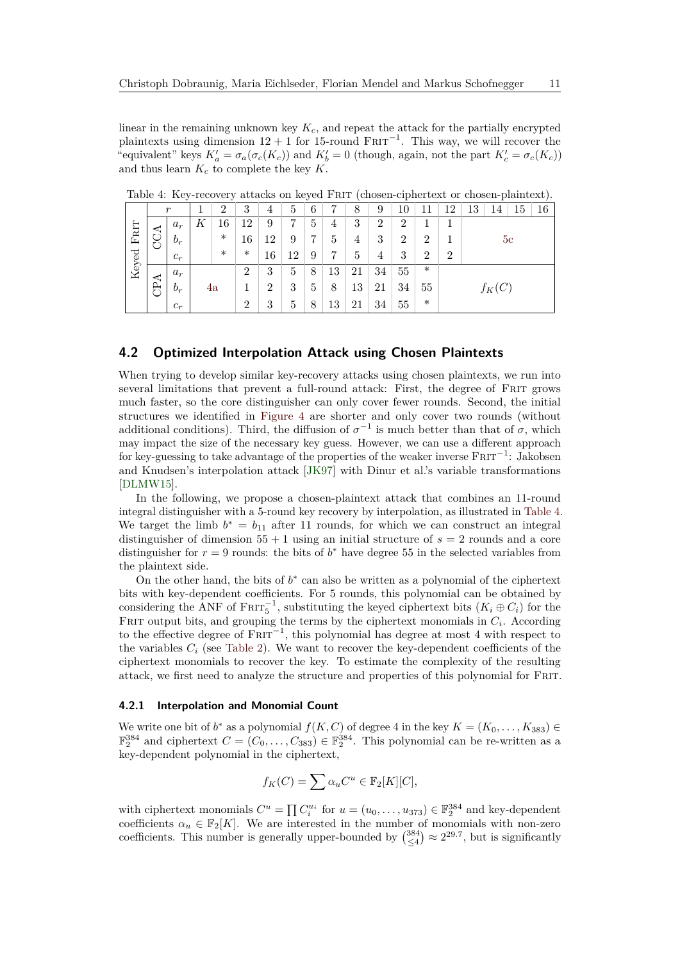linear in the remaining unknown key *Kc*, and repeat the attack for the partially encrypted plaintexts using dimension  $12 + 1$  for 15-round  $FRTT^{-1}$ . This way, we will recover the "equivalent" keys  $K'_a = \sigma_a(\sigma_c(K_c))$  and  $K'_b = 0$  (though, again, not the part  $K'_c = \sigma_c(K_c)$ ) and thus learn *K<sup>c</sup>* to complete the key *K*.

|  |                   | $\boldsymbol{r}$ |       |    | $\overline{2}$ | 3              | 4  | 5  | 6 | 7  | 8              | 9              | 10             | 11             | 12             | 13             | 14 | 15 | 16 |
|--|-------------------|------------------|-------|----|----------------|----------------|----|----|---|----|----------------|----------------|----------------|----------------|----------------|----------------|----|----|----|
|  |                   |                  | $a_r$ | Κ  | 16             | 12             | 9  | 7  | 5 | 4  | 3              | $\overline{2}$ | $\overline{2}$ |                |                | 5 <sub>c</sub> |    |    |    |
|  | ${\rm F}{\rm HT}$ | CCA              | $b_r$ |    | $\ast$         | 16             | 12 | 9  | 7 | 5  | $\overline{4}$ | 3              | $\overline{2}$ | $\overline{2}$ |                |                |    |    |    |
|  | Keyed             |                  | $c_r$ |    | $\ast$         | $\ast$         | 16 | 12 | 9 | ד  | 5              | 4              | 3              | $\overline{2}$ | $\overline{2}$ |                |    |    |    |
|  |                   |                  | $a_r$ | 4a |                | $\overline{2}$ | 3  | 5  | 8 | 13 | 21             | 34             | 55             | $\ast$         |                |                |    |    |    |
|  |                   | CPA              | $b_r$ |    |                |                | 2  | 3  | 5 | 8  | 13             | 21             | 34             | 55             |                | $f_K(C)$       |    |    |    |
|  |                   |                  | $c_r$ |    |                | $\overline{2}$ | 3  | 5  | 8 | 13 | 21             | 34             | 55             | $\ast$         |                |                |    |    |    |

<span id="page-10-0"></span>Table 4: Key-recovery attacks on keyed Frit (chosen-ciphertext or chosen-plaintext).

## **4.2 Optimized Interpolation Attack using Chosen Plaintexts**

When trying to develop similar key-recovery attacks using chosen plaintexts, we run into several limitations that prevent a full-round attack: First, the degree of Frit grows much faster, so the core distinguisher can only cover fewer rounds. Second, the initial structures we identified in [Figure 4](#page-6-3) are shorter and only cover two rounds (without additional conditions). Third, the diffusion of  $\sigma^{-1}$  is much better than that of  $\sigma$ , which may impact the size of the necessary key guess. However, we can use a different approach for key-guessing to take advantage of the properties of the weaker inverse  $FRTT^{-1}$ : Jakobsen and Knudsen's interpolation attack [\[JK97\]](#page-15-11) with Dinur et al.'s variable transformations [\[DLMW15\]](#page-14-4).

In the following, we propose a chosen-plaintext attack that combines an 11-round integral distinguisher with a 5-round key recovery by interpolation, as illustrated in [Table 4.](#page-10-0) We target the limb  $b^* = b_{11}$  after 11 rounds, for which we can construct an integral distinguisher of dimension  $55 + 1$  using an initial structure of  $s = 2$  rounds and a core distinguisher for  $r = 9$  rounds: the bits of  $b^*$  have degree 55 in the selected variables from the plaintext side.

On the other hand, the bits of  $b^*$  can also be written as a polynomial of the ciphertext bits with key-dependent coefficients. For 5 rounds, this polynomial can be obtained by considering the ANF of  $FRT_{5}^{-1}$ , substituting the keyed ciphertext bits  $(K_{i} \oplus C_{i})$  for the FRIT output bits, and grouping the terms by the ciphertext monomials in  $C_i$ . According to the effective degree of  $F\text{RIT}^{-1}$ , this polynomial has degree at most 4 with respect to the variables  $C_i$  (see [Table 2\)](#page-8-7). We want to recover the key-dependent coefficients of the ciphertext monomials to recover the key. To estimate the complexity of the resulting attack, we first need to analyze the structure and properties of this polynomial for Frit.

### **4.2.1 Interpolation and Monomial Count**

We write one bit of  $b^*$  as a polynomial  $f(K, C)$  of degree 4 in the key  $K = (K_0, \ldots, K_{383}) \in$  $\mathbb{F}_2^{384}$  and ciphertext  $C = (C_0, \ldots, C_{383}) \in \mathbb{F}_2^{384}$ . This polynomial can be re-written as a key-dependent polynomial in the ciphertext,

$$
f_K(C) = \sum \alpha_u C^u \in \mathbb{F}_2[K][C],
$$

with ciphertext monomials  $C^u = \prod C_i^{u_i}$  for  $u = (u_0, \ldots, u_{373}) \in \mathbb{F}_2^{384}$  and key-dependent coefficients  $\alpha_u \in \mathbb{F}_2[K]$ . We are interested in the number of monomials with non-zero coefficients. This number is generally upper-bounded by  $\binom{384}{\leq 4} \approx 2^{29.7}$ , but is significantly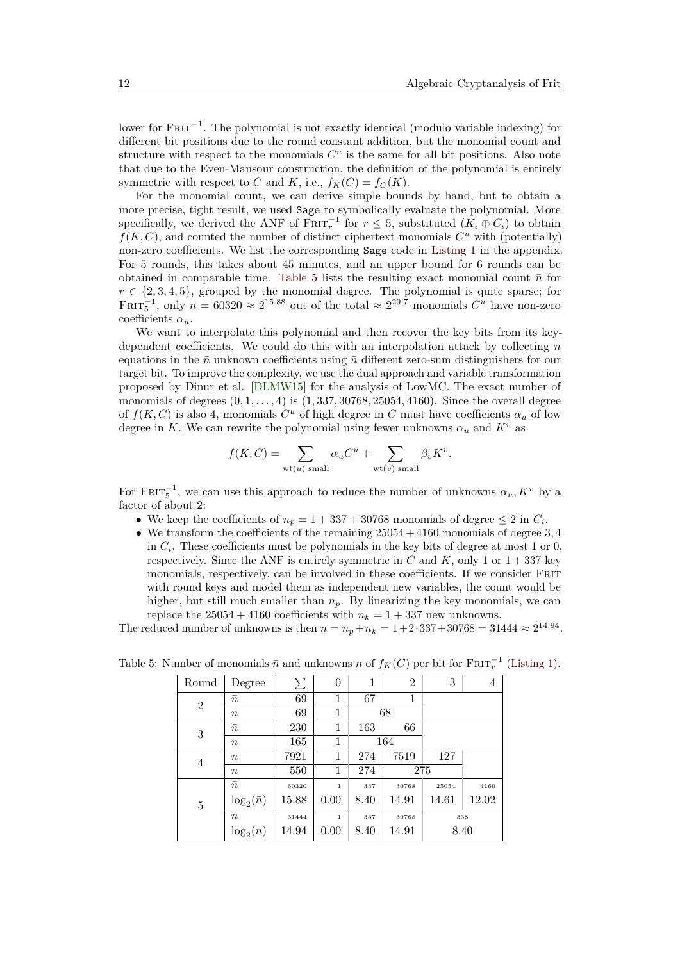lower for FRIT<sup>-1</sup>. The polynomial is not exactly identical (modulo variable indexing) for different bit positions due to the round constant addition, but the monomial count and structure with respect to the monomials  $C^u$  is the same for all bit positions. Also note that due to the Even-Mansour construction, the definition of the polynomial is entirely symmetric with respect to *C* and *K*, i.e.,  $f_K(C) = f_C(K)$ .

For the monomial count, we can derive simple bounds by hand, but to obtain a more precise, tight result, we used Sage to symbolically evaluate the polynomial. More specifically, we derived the ANF of  $\text{FRT}_r^{-1}$  for  $r \leq 5$ , substituted  $(K_i \oplus C_i)$  to obtain  $f(K, C)$ , and counted the number of distinct ciphertext monomials  $C^u$  with (potentially) non-zero coefficients. We list the corresponding Sage code in [Listing 1](#page-17-2) in the appendix. For 5 rounds, this takes about 45 minutes, and an upper bound for 6 rounds can be obtained in comparable time. [Table 5](#page-11-0) lists the resulting exact monomial count  $\bar{n}$  for  $r \in \{2, 3, 4, 5\}$ , grouped by the monomial degree. The polynomial is quite sparse; for FRIT<sub>5</sub><sup>-1</sup>, only  $\bar{n} = 60320 \approx 2^{15.88}$  out of the total  $\approx 2^{29.7}$  monomials  $C^u$  have non-zero coefficients *αu*.

We want to interpolate this polynomial and then recover the key bits from its keydependent coefficients. We could do this with an interpolation attack by collecting  $\bar{n}$ equations in the  $\bar{n}$  unknown coefficients using  $\bar{n}$  different zero-sum distinguishers for our target bit. To improve the complexity, we use the dual approach and variable transformation proposed by Dinur et al. [\[DLMW15\]](#page-14-4) for the analysis of LowMC. The exact number of monomials of degrees (0*,* 1*, . . . ,* 4) is (1*,* 337*,* 30768*,* 25054*,* 4160). Since the overall degree of  $f(K, C)$  is also 4, monomials  $C^u$  of high degree in  $C$  must have coefficients  $\alpha_u$  of low degree in *K*. We can rewrite the polynomial using fewer unknowns  $\alpha_u$  and  $K^v$  as

$$
f(K, C) = \sum_{\text{wt}(u) \text{ small}} \alpha_u C^u + \sum_{\text{wt}(v) \text{ small}} \beta_v K^v.
$$

For  $F$ RIT<sub>5</sub><sup>-1</sup>, we can use this approach to reduce the number of unknowns  $\alpha_u, K^v$  by a factor of about 2:

- We keep the coefficients of  $n_p = 1 + 337 + 30768$  monomials of degree  $\leq 2$  in  $C_i$ .
- We transform the coefficients of the remaining 25054 + 4160 monomials of degree 3*,* 4 in  $C_i$ . These coefficients must be polynomials in the key bits of degree at most 1 or 0, respectively. Since the ANF is entirely symmetric in  $C$  and  $K$ , only 1 or  $1 + 337$  key monomials, respectively, can be involved in these coefficients. If we consider Frit with round keys and model them as independent new variables, the count would be higher, but still much smaller than  $n_p$ . By linearizing the key monomials, we can replace the  $25054 + 4160$  coefficients with  $n_k = 1 + 337$  new unknowns.

The reduced number of unknowns is then  $n = n_p + n_k = 1 + 2 \cdot 337 + 30768 = 31444 \approx 2^{14.94}$ .

| Round          | Degree            | $\sum$ | 0            | 1    | $\overline{2}$ | 3     | 4     |
|----------------|-------------------|--------|--------------|------|----------------|-------|-------|
| $\overline{2}$ | $\bar{n}$         | 69     | 1            | 67   | 1              |       |       |
|                | $\it{n}$          | 69     | 1            | 68   |                |       |       |
| 3              | $\bar{n}$         | 230    | 1            | 163  | 66             |       |       |
|                | $\it{n}$          | 165    | 1            |      | 164            |       |       |
| 4              | $\bar{n}$         | 7921   | 1            | 274  | 7519           | 127   |       |
|                | $\it{n}$          | 550    | 1            | 274  | 275            |       |       |
|                | $\bar{n}$         | 60320  | $\mathbf{1}$ | 337  | 30768          | 25054 | 4160  |
| $\overline{5}$ | $\log_2(\bar{n})$ | 15.88  | 0.00         | 8.40 | 14.91          | 14.61 | 12.02 |
|                | $\it{n}$          | 31444  | $\mathbf{1}$ | 337  | 30768          |       | 338   |
|                | $\log_2(n)$       | 14.94  | 0.00         | 8.40 | 14.91          | 8.40  |       |

<span id="page-11-0"></span>Table 5: Number of monomials  $\bar{n}$  and unknowns *n* of  $f_K(C)$  per bit for  $\text{FRT}_r^{-1}$  [\(Listing 1\)](#page-17-2).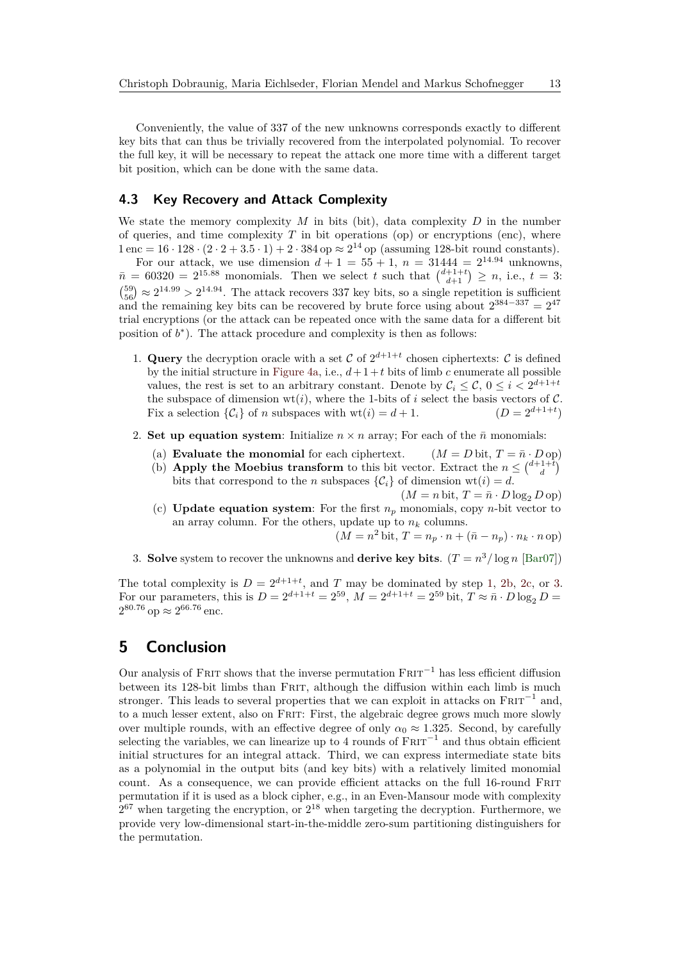Conveniently, the value of 337 of the new unknowns corresponds exactly to different key bits that can thus be trivially recovered from the interpolated polynomial. To recover the full key, it will be necessary to repeat the attack one more time with a different target bit position, which can be done with the same data.

## **4.3 Key Recovery and Attack Complexity**

We state the memory complexity *M* in bits (bit), data complexity *D* in the number of queries, and time complexity  $T$  in bit operations (op) or encryptions (enc), where  $1 \text{ enc} = 16 \cdot 128 \cdot (2 \cdot 2 + 3 \cdot 5 \cdot 1) + 2 \cdot 384 \text{ op} \approx 2^{14} \text{ op (assuming 128-bit round constants)}.$ 

For our attack, we use dimension  $d + 1 = 55 + 1$ ,  $n = 31444 = 2^{14.94}$  unknowns,  $\bar{n} = 60320 = 2^{15.88}$  monomials. Then we select *t* such that  $\binom{d+1+t}{d+1} \geq n$ , i.e.,  $t = 3$ :  $\binom{59}{56} \approx 2^{14.99} > 2^{14.94}$ . The attack recovers 337 key bits, so a single repetition is sufficient and the remaining key bits can be recovered by brute force using about  $2^{384-337} = 2^{47}$ trial encryptions (or the attack can be repeated once with the same data for a different bit position of  $b^*$ ). The attack procedure and complexity is then as follows:

- <span id="page-12-0"></span>1. Query the decryption oracle with a set C of  $2^{d+1+t}$  chosen ciphertexts: C is defined by the initial structure in [Figure 4a,](#page-6-0) i.e.,  $d+1+t$  bits of limb *c* enumerate all possible values, the rest is set to an arbitrary constant. Denote by  $\mathcal{C}_i \leq \mathcal{C}, 0 \leq i < 2^{d+1+t}$ the subspace of dimension  $wt(i)$ , where the 1-bits of *i* select the basis vectors of C. Fix a selection  $\{\mathcal{C}_i\}$  of *n* subspaces with  $wt(i) = d + 1$ .  $(D = 2^{d+1+t})$
- <span id="page-12-1"></span>2. **Set up equation system**: Initialize  $n \times n$  array: For each of the  $\bar{n}$  monomials:
	- (a) **Evaluate the monomial** for each ciphertext.  $(M = D \text{ bit}, T = \bar{n} \cdot D \text{ op})$
	- (b) **Apply the Moebius transform** to this bit vector. Extract the  $n \leq \binom{d+1+t}{d}$ bits that correspond to the *n* subspaces  $\{\mathcal{C}_i\}$  of dimension wt $(i) = d$ .

 $(M = n \text{ bit}, T = \overline{n} \cdot D \log_2 D \text{ op})$ 

<span id="page-12-2"></span>(c) **Update equation system**: For the first  $n_p$  monomials, copy *n*-bit vector to an array column. For the others, update up to  $n_k$  columns.

 $(M = n^2 \text{ bit}, T = n_p \cdot n + (\bar{n} - n_p) \cdot n_k \cdot n \text{ op})$ 

<span id="page-12-3"></span>3. **Solve** system to recover the unknowns and **derive key bits**.  $(T = n^3 / \log n \text{ [Bar07]})$  $(T = n^3 / \log n \text{ [Bar07]})$  $(T = n^3 / \log n \text{ [Bar07]})$ 

The total complexity is  $D = 2^{d+1+t}$ , and *T* may be dominated by step [1,](#page-12-0) [2b,](#page-12-1) [2c,](#page-12-2) or [3.](#page-12-3) For our parameters, this is  $D = 2^{d+1+t} = 2^{59}$ ,  $M = 2^{d+1+t} = 2^{59}$  bit,  $T \approx \bar{n} \cdot D \log_2 D =$  $2^{80.76}$  op  $\approx 2^{66.76}$  enc.

# **5 Conclusion**

Our analysis of FRIT shows that the inverse permutation  $FRT^{-1}$  has less efficient diffusion between its 128-bit limbs than FRIT, although the diffusion within each limb is much stronger. This leads to several properties that we can exploit in attacks on  $F\text{RIT}^{-1}$  and, to a much lesser extent, also on FRIT: First, the algebraic degree grows much more slowly over multiple rounds, with an effective degree of only  $\alpha_0 \approx 1.325$ . Second, by carefully selecting the variables, we can linearize up to 4 rounds of  $F\text{RIT}^{-1}$  and thus obtain efficient initial structures for an integral attack. Third, we can express intermediate state bits as a polynomial in the output bits (and key bits) with a relatively limited monomial count. As a consequence, we can provide efficient attacks on the full 16-round Frit permutation if it is used as a block cipher, e.g., in an Even-Mansour mode with complexity  $2^{67}$  when targeting the encryption, or  $2^{18}$  when targeting the decryption. Furthermore, we provide very low-dimensional start-in-the-middle zero-sum partitioning distinguishers for the permutation.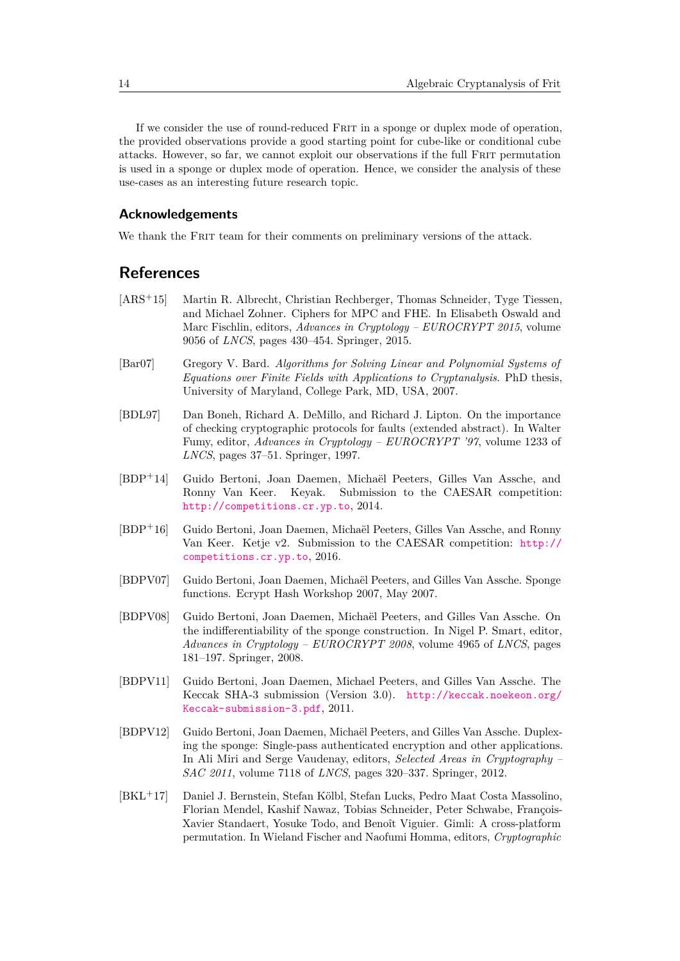If we consider the use of round-reduced Frit in a sponge or duplex mode of operation, the provided observations provide a good starting point for cube-like or conditional cube attacks. However, so far, we cannot exploit our observations if the full Frit permutation is used in a sponge or duplex mode of operation. Hence, we consider the analysis of these use-cases as an interesting future research topic.

## **Acknowledgements**

We thank the FRIT team for their comments on preliminary versions of the attack.

# **References**

- <span id="page-13-5"></span>[ARS<sup>+</sup>15] Martin R. Albrecht, Christian Rechberger, Thomas Schneider, Tyge Tiessen, and Michael Zohner. Ciphers for MPC and FHE. In Elisabeth Oswald and Marc Fischlin, editors, *Advances in Cryptology – EUROCRYPT 2015*, volume 9056 of *LNCS*, pages 430–454. Springer, 2015.
- <span id="page-13-9"></span>[Bar07] Gregory V. Bard. *Algorithms for Solving Linear and Polynomial Systems of Equations over Finite Fields with Applications to Cryptanalysis*. PhD thesis, University of Maryland, College Park, MD, USA, 2007.
- <span id="page-13-0"></span>[BDL97] Dan Boneh, Richard A. DeMillo, and Richard J. Lipton. On the importance of checking cryptographic protocols for faults (extended abstract). In Walter Fumy, editor, *Advances in Cryptology – EUROCRYPT '97*, volume 1233 of *LNCS*, pages 37–51. Springer, 1997.
- <span id="page-13-7"></span>[BDP<sup>+</sup>14] Guido Bertoni, Joan Daemen, Michaël Peeters, Gilles Van Assche, and Ronny Van Keer. Keyak. Submission to the CAESAR competition: <http://competitions.cr.yp.to>, 2014.
- <span id="page-13-6"></span>[BDP<sup>+</sup>16] Guido Bertoni, Joan Daemen, Michaël Peeters, Gilles Van Assche, and Ronny Van Keer. Ketje v2. Submission to the CAESAR competition: [http://](http://competitions.cr.yp.to) [competitions.cr.yp.to](http://competitions.cr.yp.to), 2016.
- <span id="page-13-2"></span>[BDPV07] Guido Bertoni, Joan Daemen, Michaël Peeters, and Gilles Van Assche. Sponge functions. Ecrypt Hash Workshop 2007, May 2007.
- <span id="page-13-3"></span>[BDPV08] Guido Bertoni, Joan Daemen, Michaël Peeters, and Gilles Van Assche. On the indifferentiability of the sponge construction. In Nigel P. Smart, editor, *Advances in Cryptology – EUROCRYPT 2008*, volume 4965 of *LNCS*, pages 181–197. Springer, 2008.
- <span id="page-13-1"></span>[BDPV11] Guido Bertoni, Joan Daemen, Michael Peeters, and Gilles Van Assche. The Keccak SHA-3 submission (Version 3.0). [http://keccak.noekeon.org/](http://keccak.noekeon.org/Keccak-submission-3.pdf) [Keccak-submission-3.pdf](http://keccak.noekeon.org/Keccak-submission-3.pdf), 2011.
- <span id="page-13-4"></span>[BDPV12] Guido Bertoni, Joan Daemen, Michaël Peeters, and Gilles Van Assche. Duplexing the sponge: Single-pass authenticated encryption and other applications. In Ali Miri and Serge Vaudenay, editors, *Selected Areas in Cryptography – SAC 2011*, volume 7118 of *LNCS*, pages 320–337. Springer, 2012.
- <span id="page-13-8"></span>[BKL<sup>+</sup>17] Daniel J. Bernstein, Stefan Kölbl, Stefan Lucks, Pedro Maat Costa Massolino, Florian Mendel, Kashif Nawaz, Tobias Schneider, Peter Schwabe, François-Xavier Standaert, Yosuke Todo, and Benoît Viguier. Gimli: A cross-platform permutation. In Wieland Fischer and Naofumi Homma, editors, *Cryptographic*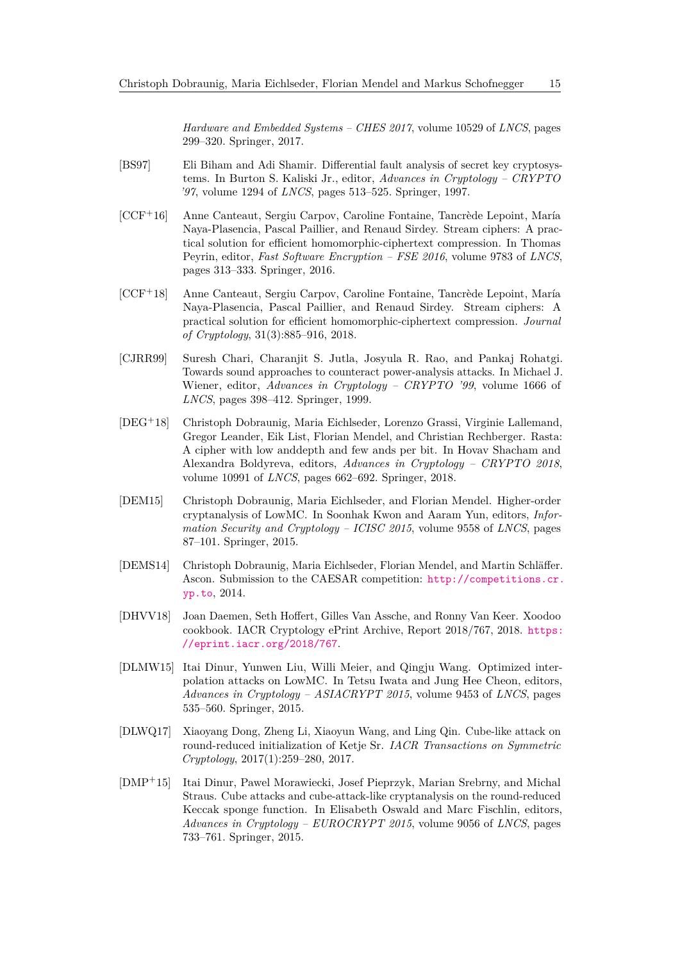*Hardware and Embedded Systems – CHES 2017*, volume 10529 of *LNCS*, pages 299–320. Springer, 2017.

- <span id="page-14-0"></span>[BS97] Eli Biham and Adi Shamir. Differential fault analysis of secret key cryptosystems. In Burton S. Kaliski Jr., editor, *Advances in Cryptology – CRYPTO '97*, volume 1294 of *LNCS*, pages 513–525. Springer, 1997.
- <span id="page-14-6"></span>[CCF<sup>+</sup>16] Anne Canteaut, Sergiu Carpov, Caroline Fontaine, Tancrède Lepoint, María Naya-Plasencia, Pascal Paillier, and Renaud Sirdey. Stream ciphers: A practical solution for efficient homomorphic-ciphertext compression. In Thomas Peyrin, editor, *Fast Software Encryption – FSE 2016*, volume 9783 of *LNCS*, pages 313–333. Springer, 2016.
- <span id="page-14-7"></span>[CCF<sup>+</sup>18] Anne Canteaut, Sergiu Carpov, Caroline Fontaine, Tancrède Lepoint, María Naya-Plasencia, Pascal Paillier, and Renaud Sirdey. Stream ciphers: A practical solution for efficient homomorphic-ciphertext compression. *Journal of Cryptology*, 31(3):885–916, 2018.
- <span id="page-14-1"></span>[CJRR99] Suresh Chari, Charanjit S. Jutla, Josyula R. Rao, and Pankaj Rohatgi. Towards sound approaches to counteract power-analysis attacks. In Michael J. Wiener, editor, *Advances in Cryptology – CRYPTO '99*, volume 1666 of *LNCS*, pages 398–412. Springer, 1999.
- <span id="page-14-8"></span>[DEG<sup>+</sup>18] Christoph Dobraunig, Maria Eichlseder, Lorenzo Grassi, Virginie Lallemand, Gregor Leander, Eik List, Florian Mendel, and Christian Rechberger. Rasta: A cipher with low anddepth and few ands per bit. In Hovav Shacham and Alexandra Boldyreva, editors, *Advances in Cryptology – CRYPTO 2018*, volume 10991 of *LNCS*, pages 662–692. Springer, 2018.
- <span id="page-14-3"></span>[DEM15] Christoph Dobraunig, Maria Eichlseder, and Florian Mendel. Higher-order cryptanalysis of LowMC. In Soonhak Kwon and Aaram Yun, editors, *Information Security and Cryptology – ICISC 2015*, volume 9558 of *LNCS*, pages 87–101. Springer, 2015.
- <span id="page-14-2"></span>[DEMS14] Christoph Dobraunig, Maria Eichlseder, Florian Mendel, and Martin Schläffer. Ascon. Submission to the CAESAR competition: [http://competitions.cr.](http://competitions.cr.yp.to) [yp.to](http://competitions.cr.yp.to), 2014.
- <span id="page-14-5"></span>[DHVV18] Joan Daemen, Seth Hoffert, Gilles Van Assche, and Ronny Van Keer. Xoodoo cookbook. IACR Cryptology ePrint Archive, Report 2018/767, 2018. [https:](https://eprint.iacr.org/2018/767) [//eprint.iacr.org/2018/767](https://eprint.iacr.org/2018/767).
- <span id="page-14-4"></span>[DLMW15] Itai Dinur, Yunwen Liu, Willi Meier, and Qingju Wang. Optimized interpolation attacks on LowMC. In Tetsu Iwata and Jung Hee Cheon, editors, *Advances in Cryptology – ASIACRYPT 2015*, volume 9453 of *LNCS*, pages 535–560. Springer, 2015.
- <span id="page-14-10"></span>[DLWQ17] Xiaoyang Dong, Zheng Li, Xiaoyun Wang, and Ling Qin. Cube-like attack on round-reduced initialization of Ketje Sr. *IACR Transactions on Symmetric Cryptology*, 2017(1):259–280, 2017.
- <span id="page-14-9"></span>[DMP<sup>+</sup>15] Itai Dinur, Pawel Morawiecki, Josef Pieprzyk, Marian Srebrny, and Michal Straus. Cube attacks and cube-attack-like cryptanalysis on the round-reduced Keccak sponge function. In Elisabeth Oswald and Marc Fischlin, editors, *Advances in Cryptology – EUROCRYPT 2015*, volume 9056 of *LNCS*, pages 733–761. Springer, 2015.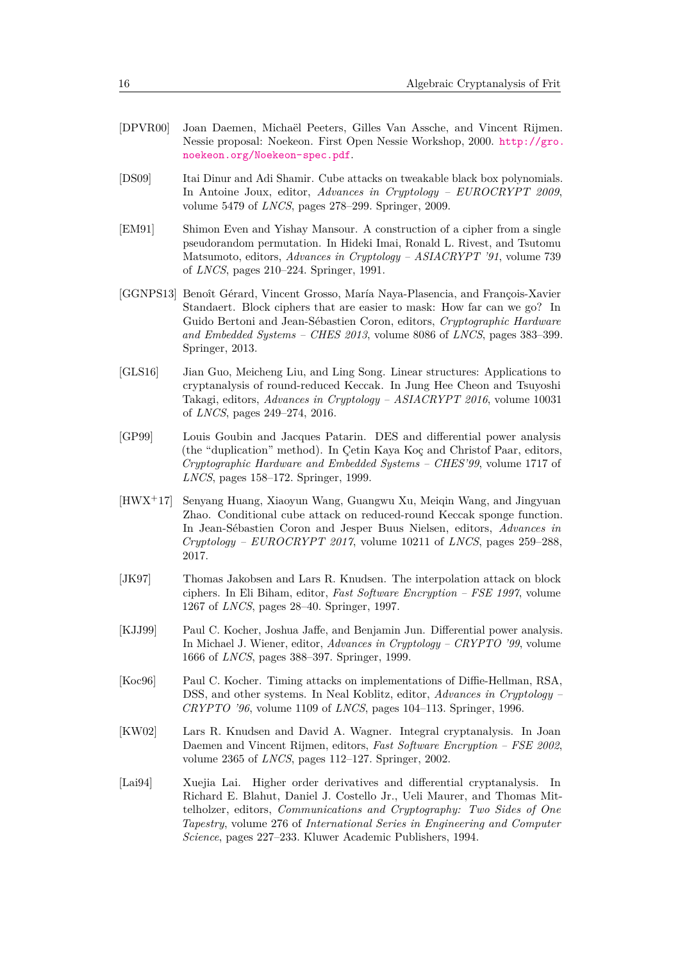- <span id="page-15-3"></span>[DPVR00] Joan Daemen, Michaël Peeters, Gilles Van Assche, and Vincent Rijmen. Nessie proposal: Noekeon. First Open Nessie Workshop, 2000. [http://gro.](http://gro.noekeon.org/Noekeon-spec.pdf) [noekeon.org/Noekeon-spec.pdf](http://gro.noekeon.org/Noekeon-spec.pdf).
- <span id="page-15-6"></span>[DS09] Itai Dinur and Adi Shamir. Cube attacks on tweakable black box polynomials. In Antoine Joux, editor, *Advances in Cryptology – EUROCRYPT 2009*, volume 5479 of *LNCS*, pages 278–299. Springer, 2009.
- <span id="page-15-5"></span>[EM91] Shimon Even and Yishay Mansour. A construction of a cipher from a single pseudorandom permutation. In Hideki Imai, Ronald L. Rivest, and Tsutomu Matsumoto, editors, *Advances in Cryptology – ASIACRYPT '91*, volume 739 of *LNCS*, pages 210–224. Springer, 1991.
- <span id="page-15-4"></span>[GGNPS13] Benoît Gérard, Vincent Grosso, María Naya-Plasencia, and François-Xavier Standaert. Block ciphers that are easier to mask: How far can we go? In Guido Bertoni and Jean-Sébastien Coron, editors, *Cryptographic Hardware and Embedded Systems – CHES 2013*, volume 8086 of *LNCS*, pages 383–399. Springer, 2013.
- <span id="page-15-8"></span>[GLS16] Jian Guo, Meicheng Liu, and Ling Song. Linear structures: Applications to cryptanalysis of round-reduced Keccak. In Jung Hee Cheon and Tsuyoshi Takagi, editors, *Advances in Cryptology – ASIACRYPT 2016*, volume 10031 of *LNCS*, pages 249–274, 2016.
- <span id="page-15-2"></span>[GP99] Louis Goubin and Jacques Patarin. DES and differential power analysis (the "duplication" method). In Çetin Kaya Koç and Christof Paar, editors, *Cryptographic Hardware and Embedded Systems – CHES'99*, volume 1717 of *LNCS*, pages 158–172. Springer, 1999.
- <span id="page-15-7"></span>[HWX<sup>+</sup>17] Senyang Huang, Xiaoyun Wang, Guangwu Xu, Meiqin Wang, and Jingyuan Zhao. Conditional cube attack on reduced-round Keccak sponge function. In Jean-Sébastien Coron and Jesper Buus Nielsen, editors, *Advances in Cryptology – EUROCRYPT 2017*, volume 10211 of *LNCS*, pages 259–288, 2017.
- <span id="page-15-11"></span>[JK97] Thomas Jakobsen and Lars R. Knudsen. The interpolation attack on block ciphers. In Eli Biham, editor, *Fast Software Encryption – FSE 1997*, volume 1267 of *LNCS*, pages 28–40. Springer, 1997.
- <span id="page-15-1"></span>[KJJ99] Paul C. Kocher, Joshua Jaffe, and Benjamin Jun. Differential power analysis. In Michael J. Wiener, editor, *Advances in Cryptology – CRYPTO '99*, volume 1666 of *LNCS*, pages 388–397. Springer, 1999.
- <span id="page-15-0"></span>[Koc96] Paul C. Kocher. Timing attacks on implementations of Diffie-Hellman, RSA, DSS, and other systems. In Neal Koblitz, editor, *Advances in Cryptology – CRYPTO '96*, volume 1109 of *LNCS*, pages 104–113. Springer, 1996.
- <span id="page-15-9"></span>[KW02] Lars R. Knudsen and David A. Wagner. Integral cryptanalysis. In Joan Daemen and Vincent Rijmen, editors, *Fast Software Encryption – FSE 2002*, volume 2365 of *LNCS*, pages 112–127. Springer, 2002.
- <span id="page-15-10"></span>[Lai94] Xuejia Lai. Higher order derivatives and differential cryptanalysis. In Richard E. Blahut, Daniel J. Costello Jr., Ueli Maurer, and Thomas Mittelholzer, editors, *Communications and Cryptography: Two Sides of One Tapestry*, volume 276 of *International Series in Engineering and Computer Science*, pages 227–233. Kluwer Academic Publishers, 1994.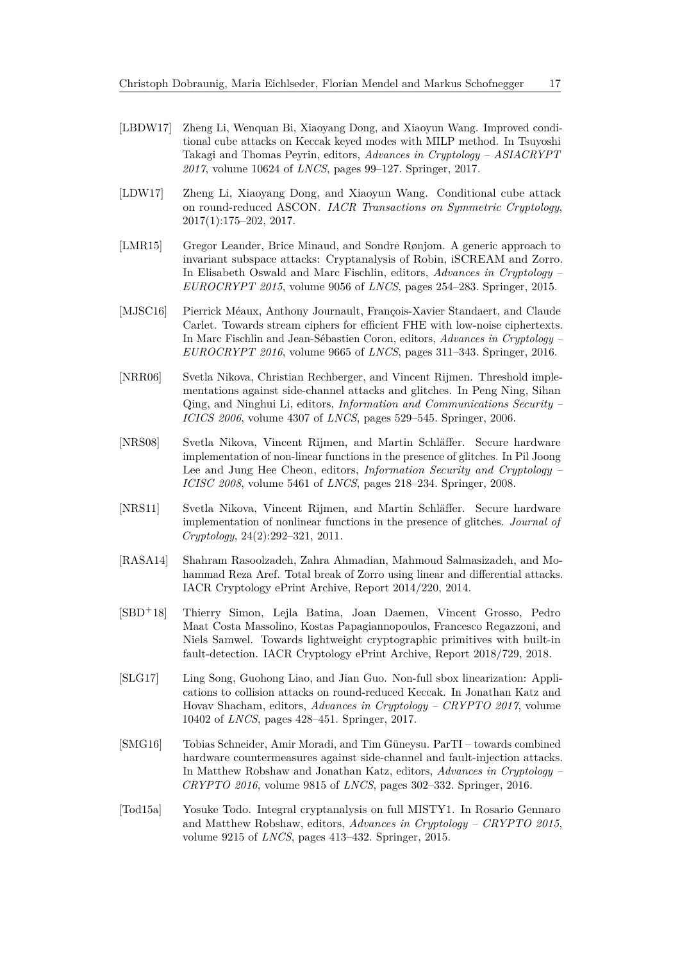- <span id="page-16-9"></span>[LBDW17] Zheng Li, Wenquan Bi, Xiaoyang Dong, and Xiaoyun Wang. Improved conditional cube attacks on Keccak keyed modes with MILP method. In Tsuyoshi Takagi and Thomas Peyrin, editors, *Advances in Cryptology – ASIACRYPT 2017*, volume 10624 of *LNCS*, pages 99–127. Springer, 2017.
- <span id="page-16-8"></span>[LDW17] Zheng Li, Xiaoyang Dong, and Xiaoyun Wang. Conditional cube attack on round-reduced ASCON. *IACR Transactions on Symmetric Cryptology*, 2017(1):175–202, 2017.
- <span id="page-16-6"></span>[LMR15] Gregor Leander, Brice Minaud, and Sondre Rønjom. A generic approach to invariant subspace attacks: Cryptanalysis of Robin, iSCREAM and Zorro. In Elisabeth Oswald and Marc Fischlin, editors, *Advances in Cryptology – EUROCRYPT 2015*, volume 9056 of *LNCS*, pages 254–283. Springer, 2015.
- <span id="page-16-7"></span>[MJSC16] Pierrick Méaux, Anthony Journault, François-Xavier Standaert, and Claude Carlet. Towards stream ciphers for efficient FHE with low-noise ciphertexts. In Marc Fischlin and Jean-Sébastien Coron, editors, *Advances in Cryptology – EUROCRYPT 2016*, volume 9665 of *LNCS*, pages 311–343. Springer, 2016.
- <span id="page-16-0"></span>[NRR06] Svetla Nikova, Christian Rechberger, and Vincent Rijmen. Threshold implementations against side-channel attacks and glitches. In Peng Ning, Sihan Qing, and Ninghui Li, editors, *Information and Communications Security – ICICS 2006*, volume 4307 of *LNCS*, pages 529–545. Springer, 2006.
- <span id="page-16-1"></span>[NRS08] Svetla Nikova, Vincent Rijmen, and Martin Schläffer. Secure hardware implementation of non-linear functions in the presence of glitches. In Pil Joong Lee and Jung Hee Cheon, editors, *Information Security and Cryptology – ICISC 2008*, volume 5461 of *LNCS*, pages 218–234. Springer, 2008.
- <span id="page-16-2"></span>[NRS11] Svetla Nikova, Vincent Rijmen, and Martin Schläffer. Secure hardware implementation of nonlinear functions in the presence of glitches. *Journal of Cryptology*, 24(2):292–321, 2011.
- <span id="page-16-5"></span>[RASA14] Shahram Rasoolzadeh, Zahra Ahmadian, Mahmoud Salmasizadeh, and Mohammad Reza Aref. Total break of Zorro using linear and differential attacks. IACR Cryptology ePrint Archive, Report 2014/220, 2014.
- <span id="page-16-4"></span>[SBD<sup>+</sup>18] Thierry Simon, Lejla Batina, Joan Daemen, Vincent Grosso, Pedro Maat Costa Massolino, Kostas Papagiannopoulos, Francesco Regazzoni, and Niels Samwel. Towards lightweight cryptographic primitives with built-in fault-detection. IACR Cryptology ePrint Archive, Report 2018/729, 2018.
- <span id="page-16-10"></span>[SLG17] Ling Song, Guohong Liao, and Jian Guo. Non-full sbox linearization: Applications to collision attacks on round-reduced Keccak. In Jonathan Katz and Hovav Shacham, editors, *Advances in Cryptology – CRYPTO 2017*, volume 10402 of *LNCS*, pages 428–451. Springer, 2017.
- <span id="page-16-3"></span>[SMG16] Tobias Schneider, Amir Moradi, and Tim Güneysu. ParTI – towards combined hardware countermeasures against side-channel and fault-injection attacks. In Matthew Robshaw and Jonathan Katz, editors, *Advances in Cryptology – CRYPTO 2016*, volume 9815 of *LNCS*, pages 302–332. Springer, 2016.
- <span id="page-16-11"></span>[Tod15a] Yosuke Todo. Integral cryptanalysis on full MISTY1. In Rosario Gennaro and Matthew Robshaw, editors, *Advances in Cryptology – CRYPTO 2015*, volume 9215 of *LNCS*, pages 413–432. Springer, 2015.